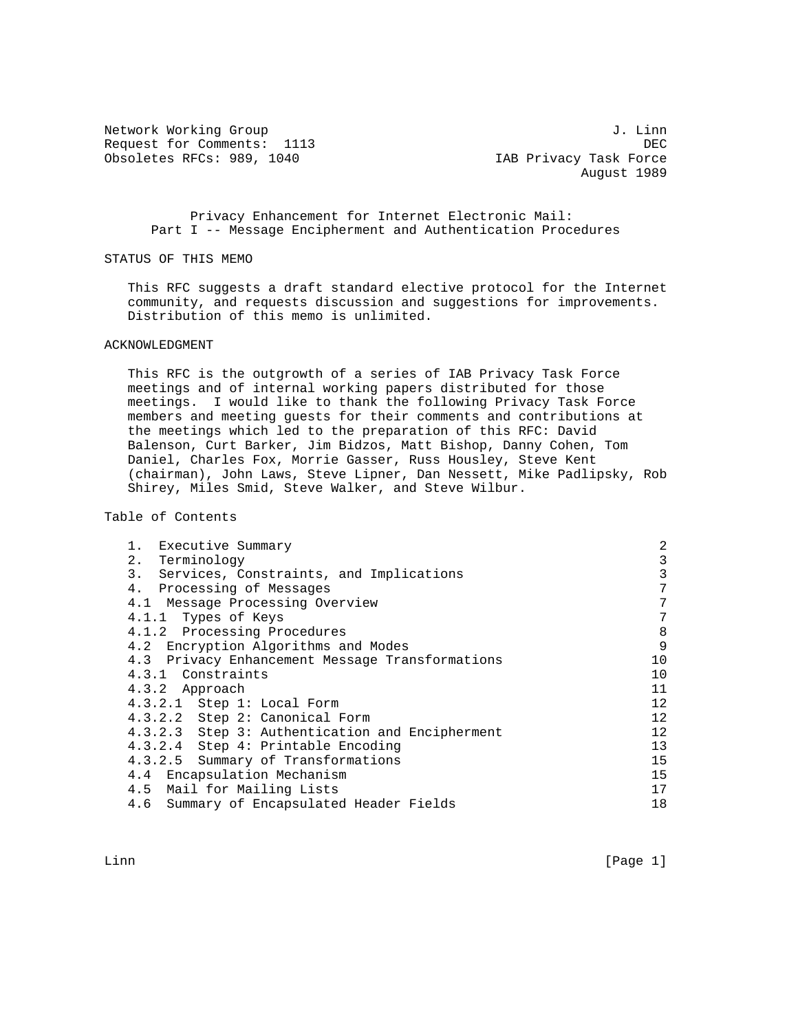Network Working Group 3. 2008 3. 2012 1. John Metwork Working Group 3. 2013 Request for Comments: 1113 DEC Obsoletes RFCs: 989, 1040 **IAB Privacy Task Force** 

August 1989

 Privacy Enhancement for Internet Electronic Mail: Part I -- Message Encipherment and Authentication Procedures

STATUS OF THIS MEMO

 This RFC suggests a draft standard elective protocol for the Internet community, and requests discussion and suggestions for improvements. Distribution of this memo is unlimited.

# ACKNOWLEDGMENT

 This RFC is the outgrowth of a series of IAB Privacy Task Force meetings and of internal working papers distributed for those meetings. I would like to thank the following Privacy Task Force members and meeting guests for their comments and contributions at the meetings which led to the preparation of this RFC: David Balenson, Curt Barker, Jim Bidzos, Matt Bishop, Danny Cohen, Tom Daniel, Charles Fox, Morrie Gasser, Russ Housley, Steve Kent (chairman), John Laws, Steve Lipner, Dan Nessett, Mike Padlipsky, Rob Shirey, Miles Smid, Steve Walker, and Steve Wilbur.

Table of Contents

| 1.<br>Executive Summary                         | 2               |
|-------------------------------------------------|-----------------|
| 2. Terminology                                  | 3               |
| 3. Services, Constraints, and Implications      | 3               |
| 4. Processing of Messages                       | 7               |
| 4.1 Message Processing Overview                 | 7               |
| 4.1.1 Types of Keys                             | 7               |
| 4.1.2 Processing Procedures                     | 8               |
| 4.2 Encryption Algorithms and Modes             | 9               |
| 4.3 Privacy Enhancement Message Transformations | 10              |
| 4.3.1 Constraints                               | 10              |
| 4.3.2 Approach                                  | 11              |
| 4.3.2.1 Step 1: Local Form                      | 12              |
| 4.3.2.2 Step 2: Canonical Form                  | 12 <sup>°</sup> |
| 4.3.2.3 Step 3: Authentication and Encipherment | 12 <sup>°</sup> |
| 4.3.2.4 Step 4: Printable Encoding              | 13              |
| 4.3.2.5 Summary of Transformations              | 15              |
| 4.4 Encapsulation Mechanism                     | 15              |
| 4.5 Mail for Mailing Lists                      | 17              |
| 4.6 Summary of Encapsulated Header Fields       | 18              |
|                                                 |                 |

Linn [Page 1]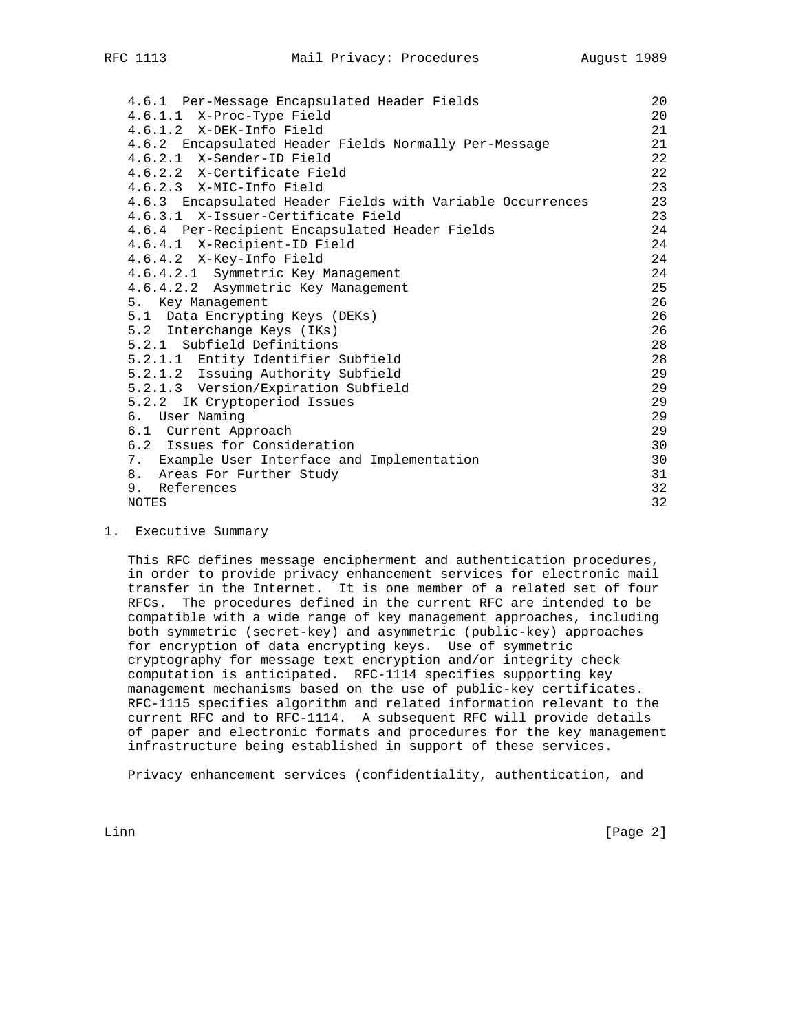| 4.6.1 Per-Message Encapsulated Header Fields               | 20 |
|------------------------------------------------------------|----|
| 4.6.1.1 X-Proc-Type Field                                  | 20 |
| 4.6.1.2 X-DEK-Info Field                                   | 21 |
| 4.6.2 Encapsulated Header Fields Normally Per-Message      | 21 |
| 4.6.2.1 X-Sender-ID Field                                  | 22 |
| 4.6.2.2 X-Certificate Field                                | 22 |
| 4.6.2.3 X-MIC-Info Field                                   | 23 |
| 4.6.3 Encapsulated Header Fields with Variable Occurrences | 23 |
| 4.6.3.1 X-Issuer-Certificate Field                         | 23 |
| 4.6.4 Per-Recipient Encapsulated Header Fields             | 24 |
| 4.6.4.1 X-Recipient-ID Field                               | 24 |
| 4.6.4.2 X-Key-Info Field                                   | 24 |
| 4.6.4.2.1 Symmetric Key Management                         | 24 |
| 4.6.4.2.2 Asymmetric Key Management                        | 25 |
| 5. Key Management                                          | 26 |
| 5.1 Data Encrypting Keys (DEKs)                            | 26 |
| 5.2 Interchange Keys (IKs)                                 | 26 |
| 5.2.1 Subfield Definitions                                 | 28 |
| 5.2.1.1 Entity Identifier Subfield                         | 28 |
| 5.2.1.2 Issuing Authority Subfield                         | 29 |
| 5.2.1.3 Version/Expiration Subfield                        | 29 |
| 5.2.2 IK Cryptoperiod Issues                               | 29 |
| 6. User Naming                                             | 29 |
| 6.1 Current Approach                                       | 29 |
| 6.2 Issues for Consideration                               | 30 |
| 7. Example User Interface and Implementation               | 30 |
| 8. Areas For Further Study                                 | 31 |
| 9. References                                              | 32 |
| NOTES                                                      | 32 |

1. Executive Summary

 This RFC defines message encipherment and authentication procedures, in order to provide privacy enhancement services for electronic mail transfer in the Internet. It is one member of a related set of four RFCs. The procedures defined in the current RFC are intended to be compatible with a wide range of key management approaches, including both symmetric (secret-key) and asymmetric (public-key) approaches for encryption of data encrypting keys. Use of symmetric cryptography for message text encryption and/or integrity check computation is anticipated. RFC-1114 specifies supporting key management mechanisms based on the use of public-key certificates. RFC-1115 specifies algorithm and related information relevant to the current RFC and to RFC-1114. A subsequent RFC will provide details of paper and electronic formats and procedures for the key management infrastructure being established in support of these services.

Privacy enhancement services (confidentiality, authentication, and

Linn [Page 2]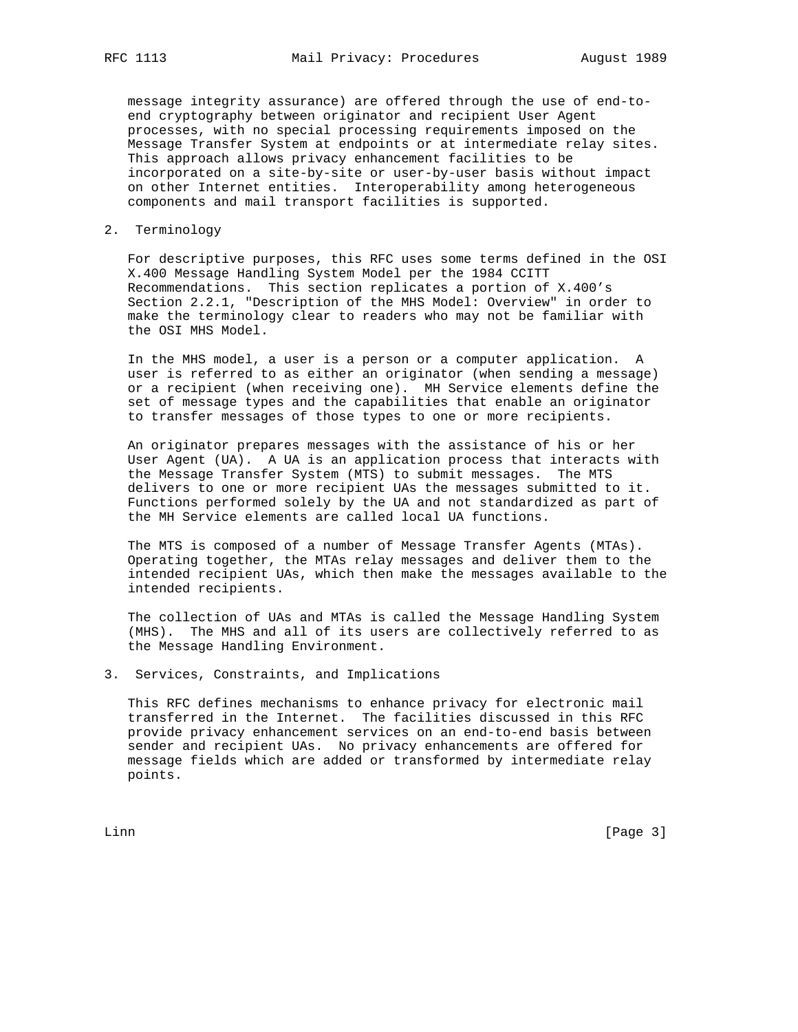message integrity assurance) are offered through the use of end-to end cryptography between originator and recipient User Agent processes, with no special processing requirements imposed on the Message Transfer System at endpoints or at intermediate relay sites. This approach allows privacy enhancement facilities to be incorporated on a site-by-site or user-by-user basis without impact on other Internet entities. Interoperability among heterogeneous components and mail transport facilities is supported.

#### 2. Terminology

 For descriptive purposes, this RFC uses some terms defined in the OSI X.400 Message Handling System Model per the 1984 CCITT Recommendations. This section replicates a portion of X.400's Section 2.2.1, "Description of the MHS Model: Overview" in order to make the terminology clear to readers who may not be familiar with the OSI MHS Model.

 In the MHS model, a user is a person or a computer application. A user is referred to as either an originator (when sending a message) or a recipient (when receiving one). MH Service elements define the set of message types and the capabilities that enable an originator to transfer messages of those types to one or more recipients.

 An originator prepares messages with the assistance of his or her User Agent (UA). A UA is an application process that interacts with the Message Transfer System (MTS) to submit messages. The MTS delivers to one or more recipient UAs the messages submitted to it. Functions performed solely by the UA and not standardized as part of the MH Service elements are called local UA functions.

 The MTS is composed of a number of Message Transfer Agents (MTAs). Operating together, the MTAs relay messages and deliver them to the intended recipient UAs, which then make the messages available to the intended recipients.

 The collection of UAs and MTAs is called the Message Handling System (MHS). The MHS and all of its users are collectively referred to as the Message Handling Environment.

3. Services, Constraints, and Implications

 This RFC defines mechanisms to enhance privacy for electronic mail transferred in the Internet. The facilities discussed in this RFC provide privacy enhancement services on an end-to-end basis between sender and recipient UAs. No privacy enhancements are offered for message fields which are added or transformed by intermediate relay points.

Linn [Page 3]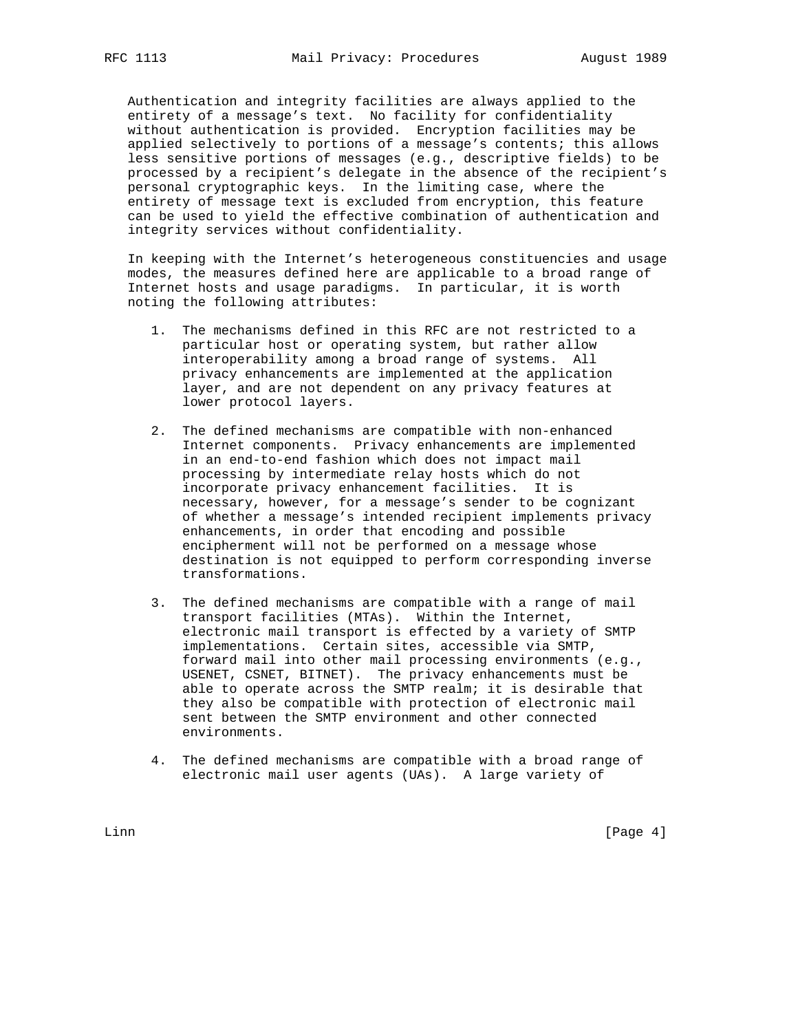Authentication and integrity facilities are always applied to the entirety of a message's text. No facility for confidentiality without authentication is provided. Encryption facilities may be applied selectively to portions of a message's contents; this allows less sensitive portions of messages (e.g., descriptive fields) to be processed by a recipient's delegate in the absence of the recipient's personal cryptographic keys. In the limiting case, where the entirety of message text is excluded from encryption, this feature can be used to yield the effective combination of authentication and integrity services without confidentiality.

 In keeping with the Internet's heterogeneous constituencies and usage modes, the measures defined here are applicable to a broad range of Internet hosts and usage paradigms. In particular, it is worth noting the following attributes:

- 1. The mechanisms defined in this RFC are not restricted to a particular host or operating system, but rather allow interoperability among a broad range of systems. All privacy enhancements are implemented at the application layer, and are not dependent on any privacy features at lower protocol layers.
- 2. The defined mechanisms are compatible with non-enhanced Internet components. Privacy enhancements are implemented in an end-to-end fashion which does not impact mail processing by intermediate relay hosts which do not incorporate privacy enhancement facilities. It is necessary, however, for a message's sender to be cognizant of whether a message's intended recipient implements privacy enhancements, in order that encoding and possible encipherment will not be performed on a message whose destination is not equipped to perform corresponding inverse transformations.
- 3. The defined mechanisms are compatible with a range of mail transport facilities (MTAs). Within the Internet, electronic mail transport is effected by a variety of SMTP implementations. Certain sites, accessible via SMTP, forward mail into other mail processing environments (e.g., USENET, CSNET, BITNET). The privacy enhancements must be able to operate across the SMTP realm; it is desirable that they also be compatible with protection of electronic mail sent between the SMTP environment and other connected environments.
- 4. The defined mechanisms are compatible with a broad range of electronic mail user agents (UAs). A large variety of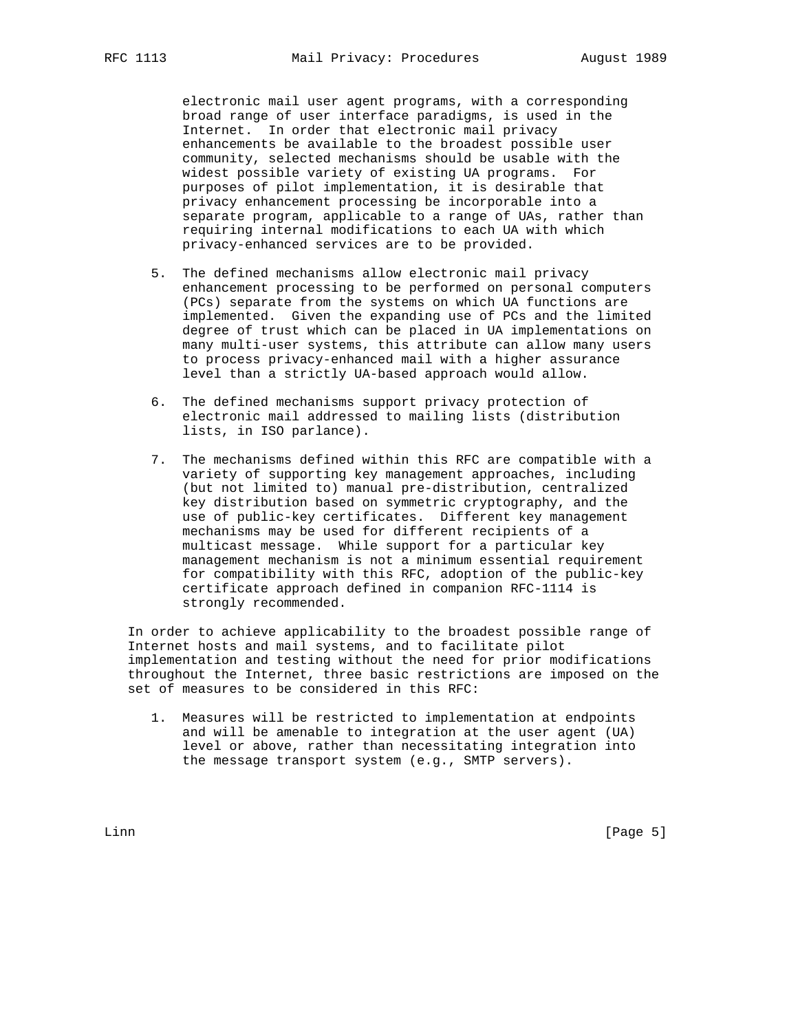electronic mail user agent programs, with a corresponding broad range of user interface paradigms, is used in the Internet. In order that electronic mail privacy enhancements be available to the broadest possible user community, selected mechanisms should be usable with the widest possible variety of existing UA programs. For purposes of pilot implementation, it is desirable that privacy enhancement processing be incorporable into a separate program, applicable to a range of UAs, rather than requiring internal modifications to each UA with which privacy-enhanced services are to be provided.

- 5. The defined mechanisms allow electronic mail privacy enhancement processing to be performed on personal computers (PCs) separate from the systems on which UA functions are implemented. Given the expanding use of PCs and the limited degree of trust which can be placed in UA implementations on many multi-user systems, this attribute can allow many users to process privacy-enhanced mail with a higher assurance level than a strictly UA-based approach would allow.
- 6. The defined mechanisms support privacy protection of electronic mail addressed to mailing lists (distribution lists, in ISO parlance).
- 7. The mechanisms defined within this RFC are compatible with a variety of supporting key management approaches, including (but not limited to) manual pre-distribution, centralized key distribution based on symmetric cryptography, and the use of public-key certificates. Different key management mechanisms may be used for different recipients of a multicast message. While support for a particular key management mechanism is not a minimum essential requirement for compatibility with this RFC, adoption of the public-key certificate approach defined in companion RFC-1114 is strongly recommended.

 In order to achieve applicability to the broadest possible range of Internet hosts and mail systems, and to facilitate pilot implementation and testing without the need for prior modifications throughout the Internet, three basic restrictions are imposed on the set of measures to be considered in this RFC:

 1. Measures will be restricted to implementation at endpoints and will be amenable to integration at the user agent (UA) level or above, rather than necessitating integration into the message transport system (e.g., SMTP servers).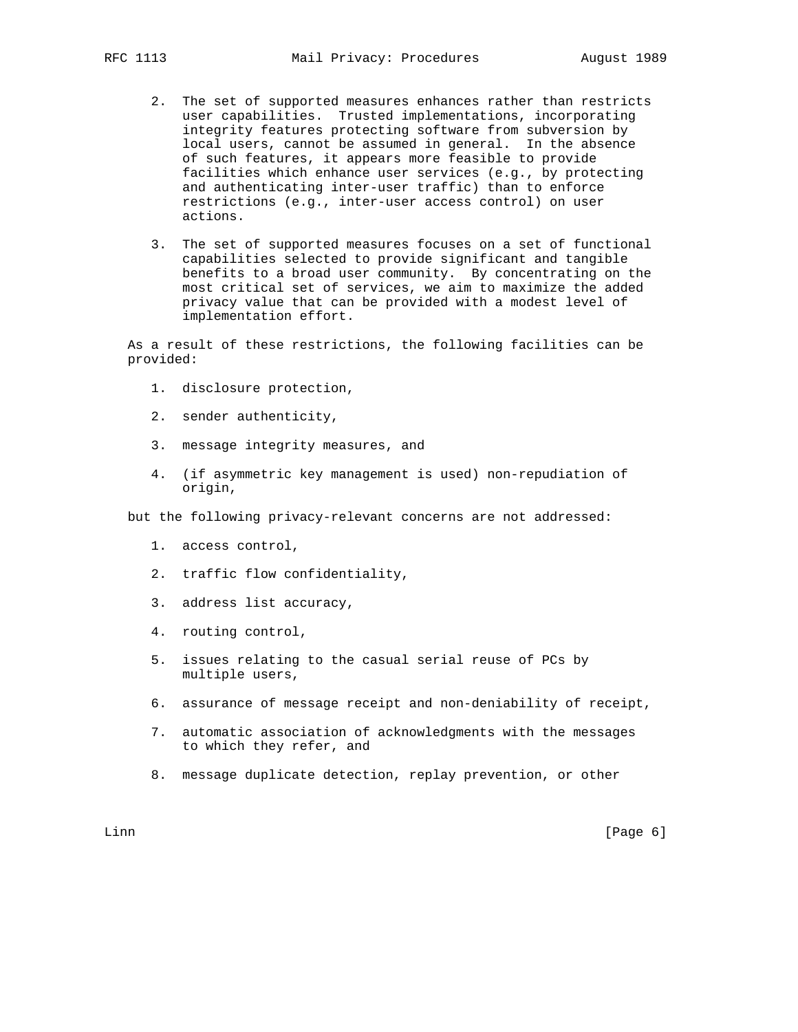- 2. The set of supported measures enhances rather than restricts user capabilities. Trusted implementations, incorporating integrity features protecting software from subversion by local users, cannot be assumed in general. In the absence of such features, it appears more feasible to provide facilities which enhance user services (e.g., by protecting and authenticating inter-user traffic) than to enforce restrictions (e.g., inter-user access control) on user actions.
- 3. The set of supported measures focuses on a set of functional capabilities selected to provide significant and tangible benefits to a broad user community. By concentrating on the most critical set of services, we aim to maximize the added privacy value that can be provided with a modest level of implementation effort.

 As a result of these restrictions, the following facilities can be provided:

- 1. disclosure protection,
- 2. sender authenticity,
- 3. message integrity measures, and
- 4. (if asymmetric key management is used) non-repudiation of origin,

but the following privacy-relevant concerns are not addressed:

- 1. access control,
- 2. traffic flow confidentiality,
- 3. address list accuracy,
- 4. routing control,
- 5. issues relating to the casual serial reuse of PCs by multiple users,
- 6. assurance of message receipt and non-deniability of receipt,
- 7. automatic association of acknowledgments with the messages to which they refer, and
- 8. message duplicate detection, replay prevention, or other

Linn [Page 6]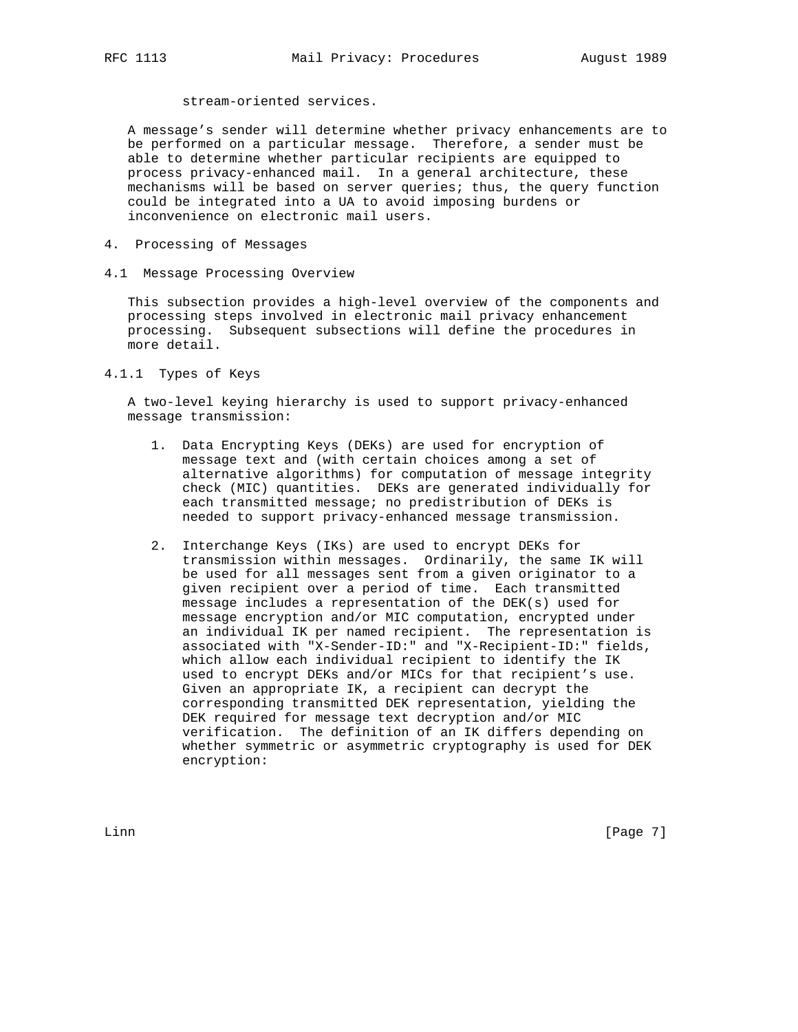stream-oriented services.

 A message's sender will determine whether privacy enhancements are to be performed on a particular message. Therefore, a sender must be able to determine whether particular recipients are equipped to process privacy-enhanced mail. In a general architecture, these mechanisms will be based on server queries; thus, the query function could be integrated into a UA to avoid imposing burdens or inconvenience on electronic mail users.

- 4. Processing of Messages
- 4.1 Message Processing Overview

 This subsection provides a high-level overview of the components and processing steps involved in electronic mail privacy enhancement processing. Subsequent subsections will define the procedures in more detail.

4.1.1 Types of Keys

 A two-level keying hierarchy is used to support privacy-enhanced message transmission:

- 1. Data Encrypting Keys (DEKs) are used for encryption of message text and (with certain choices among a set of alternative algorithms) for computation of message integrity check (MIC) quantities. DEKs are generated individually for each transmitted message; no predistribution of DEKs is needed to support privacy-enhanced message transmission.
- 2. Interchange Keys (IKs) are used to encrypt DEKs for transmission within messages. Ordinarily, the same IK will be used for all messages sent from a given originator to a given recipient over a period of time. Each transmitted message includes a representation of the DEK(s) used for message encryption and/or MIC computation, encrypted under an individual IK per named recipient. The representation is associated with "X-Sender-ID:" and "X-Recipient-ID:" fields, which allow each individual recipient to identify the IK used to encrypt DEKs and/or MICs for that recipient's use. Given an appropriate IK, a recipient can decrypt the corresponding transmitted DEK representation, yielding the DEK required for message text decryption and/or MIC verification. The definition of an IK differs depending on whether symmetric or asymmetric cryptography is used for DEK encryption:

Linn [Page 7]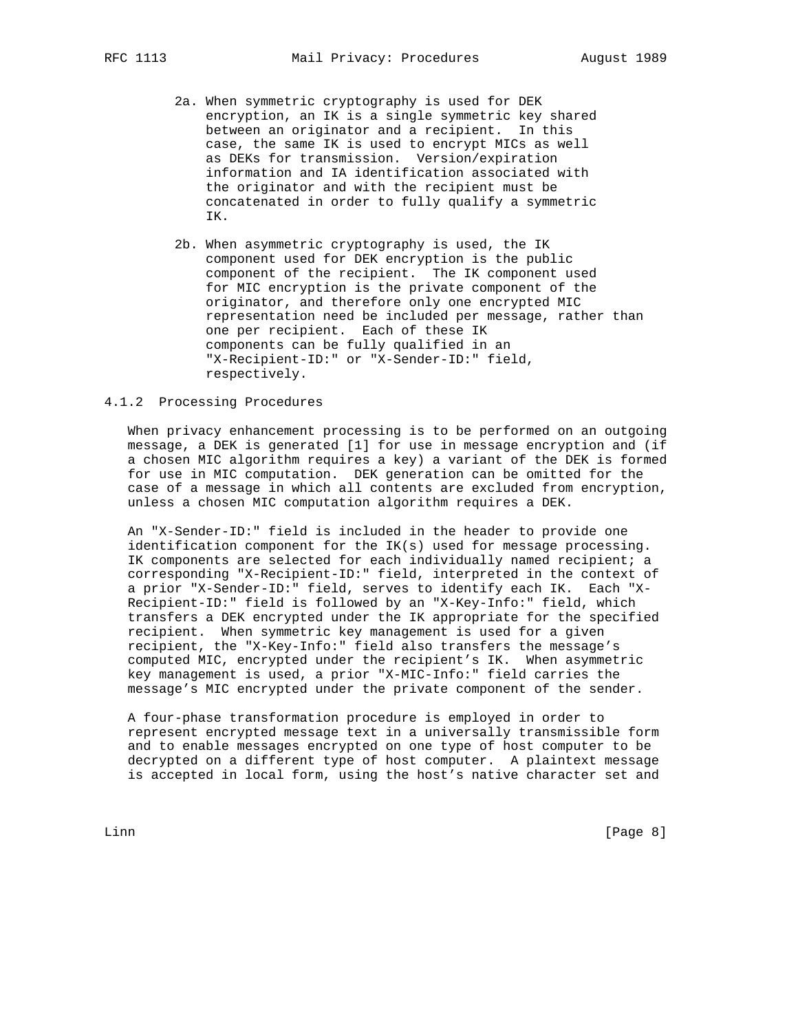- 2a. When symmetric cryptography is used for DEK encryption, an IK is a single symmetric key shared between an originator and a recipient. In this case, the same IK is used to encrypt MICs as well as DEKs for transmission. Version/expiration information and IA identification associated with the originator and with the recipient must be concatenated in order to fully qualify a symmetric IK.
- 2b. When asymmetric cryptography is used, the IK component used for DEK encryption is the public component of the recipient. The IK component used for MIC encryption is the private component of the originator, and therefore only one encrypted MIC representation need be included per message, rather than one per recipient. Each of these IK components can be fully qualified in an "X-Recipient-ID:" or "X-Sender-ID:" field, respectively.

# 4.1.2 Processing Procedures

 When privacy enhancement processing is to be performed on an outgoing message, a DEK is generated [1] for use in message encryption and (if a chosen MIC algorithm requires a key) a variant of the DEK is formed for use in MIC computation. DEK generation can be omitted for the case of a message in which all contents are excluded from encryption, unless a chosen MIC computation algorithm requires a DEK.

 An "X-Sender-ID:" field is included in the header to provide one identification component for the IK(s) used for message processing. IK components are selected for each individually named recipient; a corresponding "X-Recipient-ID:" field, interpreted in the context of a prior "X-Sender-ID:" field, serves to identify each IK. Each "X- Recipient-ID:" field is followed by an "X-Key-Info:" field, which transfers a DEK encrypted under the IK appropriate for the specified recipient. When symmetric key management is used for a given recipient, the "X-Key-Info:" field also transfers the message's computed MIC, encrypted under the recipient's IK. When asymmetric key management is used, a prior "X-MIC-Info:" field carries the message's MIC encrypted under the private component of the sender.

 A four-phase transformation procedure is employed in order to represent encrypted message text in a universally transmissible form and to enable messages encrypted on one type of host computer to be decrypted on a different type of host computer. A plaintext message is accepted in local form, using the host's native character set and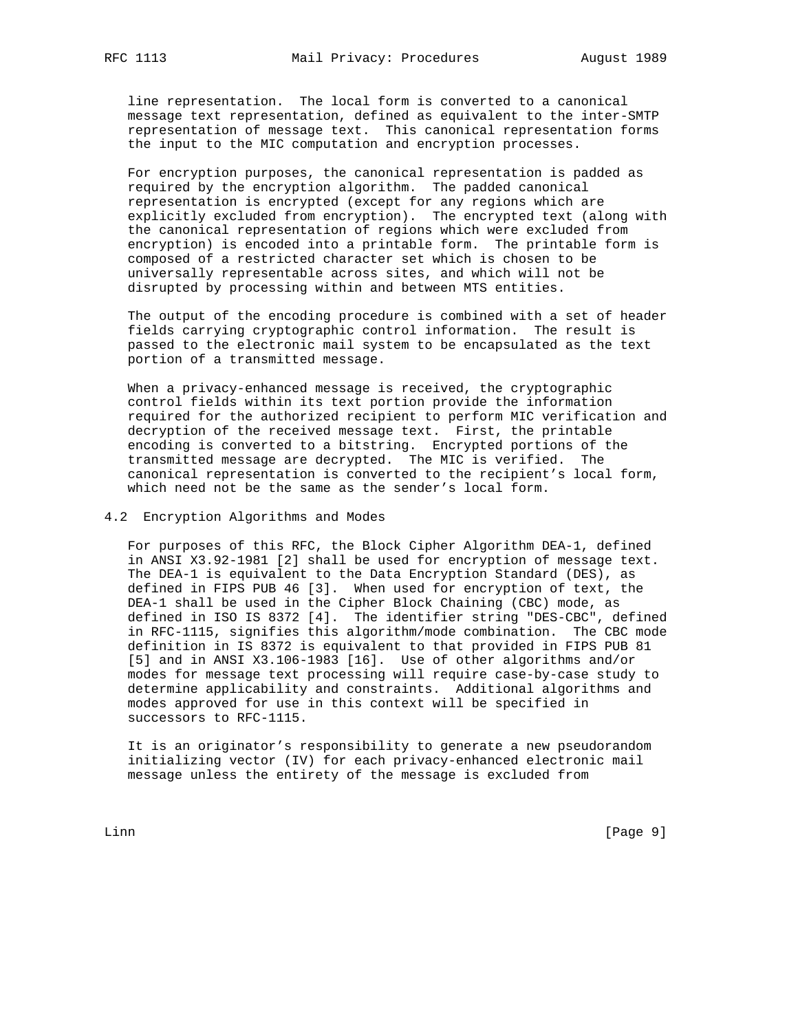line representation. The local form is converted to a canonical message text representation, defined as equivalent to the inter-SMTP representation of message text. This canonical representation forms the input to the MIC computation and encryption processes.

 For encryption purposes, the canonical representation is padded as required by the encryption algorithm. The padded canonical representation is encrypted (except for any regions which are explicitly excluded from encryption). The encrypted text (along with the canonical representation of regions which were excluded from encryption) is encoded into a printable form. The printable form is composed of a restricted character set which is chosen to be universally representable across sites, and which will not be disrupted by processing within and between MTS entities.

 The output of the encoding procedure is combined with a set of header fields carrying cryptographic control information. The result is passed to the electronic mail system to be encapsulated as the text portion of a transmitted message.

 When a privacy-enhanced message is received, the cryptographic control fields within its text portion provide the information required for the authorized recipient to perform MIC verification and decryption of the received message text. First, the printable encoding is converted to a bitstring. Encrypted portions of the transmitted message are decrypted. The MIC is verified. The canonical representation is converted to the recipient's local form, which need not be the same as the sender's local form.

## 4.2 Encryption Algorithms and Modes

 For purposes of this RFC, the Block Cipher Algorithm DEA-1, defined in ANSI X3.92-1981 [2] shall be used for encryption of message text. The DEA-1 is equivalent to the Data Encryption Standard (DES), as defined in FIPS PUB 46 [3]. When used for encryption of text, the DEA-1 shall be used in the Cipher Block Chaining (CBC) mode, as defined in ISO IS 8372 [4]. The identifier string "DES-CBC", defined in RFC-1115, signifies this algorithm/mode combination. The CBC mode definition in IS 8372 is equivalent to that provided in FIPS PUB 81 [5] and in ANSI X3.106-1983 [16]. Use of other algorithms and/or modes for message text processing will require case-by-case study to determine applicability and constraints. Additional algorithms and modes approved for use in this context will be specified in successors to RFC-1115.

 It is an originator's responsibility to generate a new pseudorandom initializing vector (IV) for each privacy-enhanced electronic mail message unless the entirety of the message is excluded from

Linn [Page 9]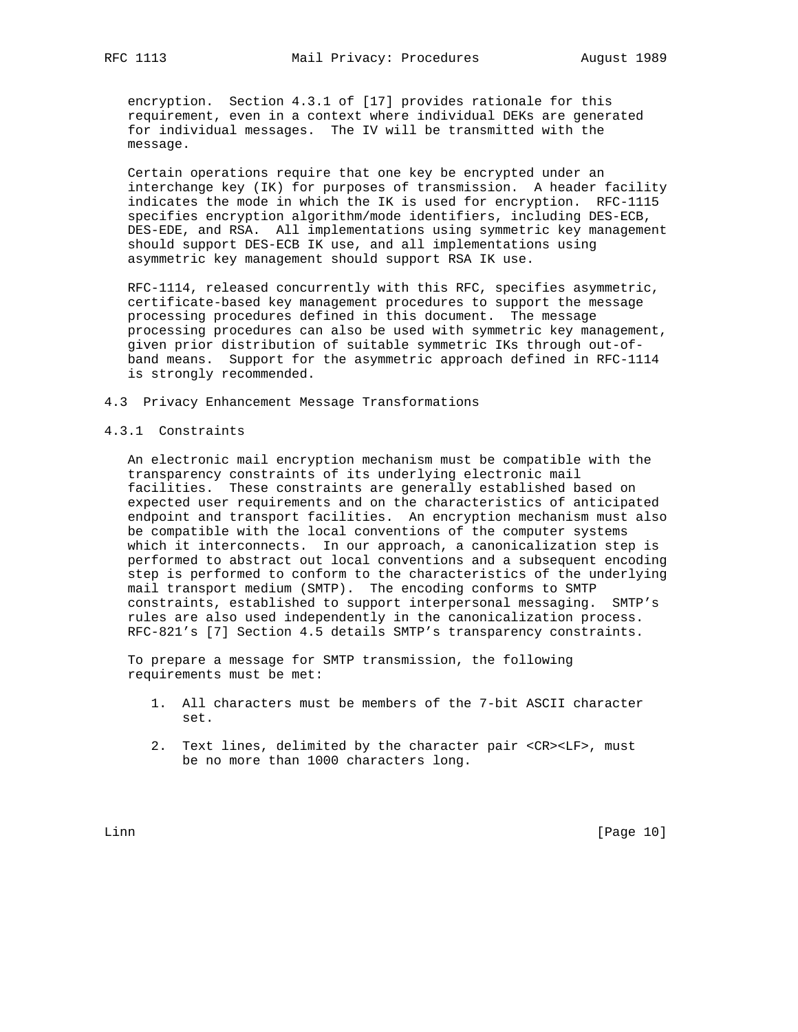encryption. Section 4.3.1 of [17] provides rationale for this requirement, even in a context where individual DEKs are generated for individual messages. The IV will be transmitted with the message.

 Certain operations require that one key be encrypted under an interchange key (IK) for purposes of transmission. A header facility indicates the mode in which the IK is used for encryption. RFC-1115 specifies encryption algorithm/mode identifiers, including DES-ECB, DES-EDE, and RSA. All implementations using symmetric key management should support DES-ECB IK use, and all implementations using asymmetric key management should support RSA IK use.

 RFC-1114, released concurrently with this RFC, specifies asymmetric, certificate-based key management procedures to support the message processing procedures defined in this document. The message processing procedures can also be used with symmetric key management, given prior distribution of suitable symmetric IKs through out-of band means. Support for the asymmetric approach defined in RFC-1114 is strongly recommended.

# 4.3 Privacy Enhancement Message Transformations

#### 4.3.1 Constraints

 An electronic mail encryption mechanism must be compatible with the transparency constraints of its underlying electronic mail facilities. These constraints are generally established based on expected user requirements and on the characteristics of anticipated endpoint and transport facilities. An encryption mechanism must also be compatible with the local conventions of the computer systems which it interconnects. In our approach, a canonicalization step is performed to abstract out local conventions and a subsequent encoding step is performed to conform to the characteristics of the underlying mail transport medium (SMTP). The encoding conforms to SMTP constraints, established to support interpersonal messaging. SMTP's rules are also used independently in the canonicalization process. RFC-821's [7] Section 4.5 details SMTP's transparency constraints.

 To prepare a message for SMTP transmission, the following requirements must be met:

- 1. All characters must be members of the 7-bit ASCII character set.
- 2. Text lines, delimited by the character pair <CR><LF>, must be no more than 1000 characters long.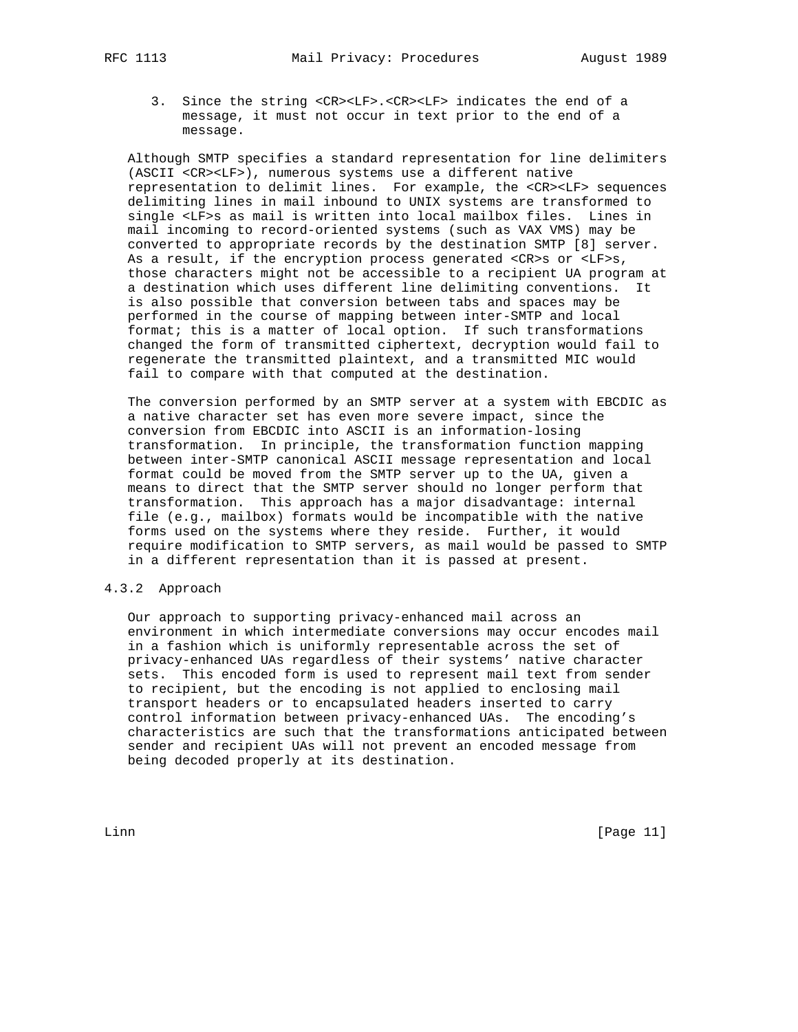3. Since the string <CR><LF>.<CR><LF> indicates the end of a message, it must not occur in text prior to the end of a message.

 Although SMTP specifies a standard representation for line delimiters (ASCII <CR><LF>), numerous systems use a different native representation to delimit lines. For example, the <CR><LF> sequences delimiting lines in mail inbound to UNIX systems are transformed to single <LF>s as mail is written into local mailbox files. Lines in mail incoming to record-oriented systems (such as VAX VMS) may be converted to appropriate records by the destination SMTP [8] server. As a result, if the encryption process generated <CR>s or <LF>s, those characters might not be accessible to a recipient UA program at a destination which uses different line delimiting conventions. It is also possible that conversion between tabs and spaces may be performed in the course of mapping between inter-SMTP and local format; this is a matter of local option. If such transformations changed the form of transmitted ciphertext, decryption would fail to regenerate the transmitted plaintext, and a transmitted MIC would fail to compare with that computed at the destination.

 The conversion performed by an SMTP server at a system with EBCDIC as a native character set has even more severe impact, since the conversion from EBCDIC into ASCII is an information-losing transformation. In principle, the transformation function mapping between inter-SMTP canonical ASCII message representation and local format could be moved from the SMTP server up to the UA, given a means to direct that the SMTP server should no longer perform that transformation. This approach has a major disadvantage: internal file (e.g., mailbox) formats would be incompatible with the native forms used on the systems where they reside. Further, it would require modification to SMTP servers, as mail would be passed to SMTP in a different representation than it is passed at present.

### 4.3.2 Approach

 Our approach to supporting privacy-enhanced mail across an environment in which intermediate conversions may occur encodes mail in a fashion which is uniformly representable across the set of privacy-enhanced UAs regardless of their systems' native character sets. This encoded form is used to represent mail text from sender to recipient, but the encoding is not applied to enclosing mail transport headers or to encapsulated headers inserted to carry control information between privacy-enhanced UAs. The encoding's characteristics are such that the transformations anticipated between sender and recipient UAs will not prevent an encoded message from being decoded properly at its destination.

Linn [Page 11]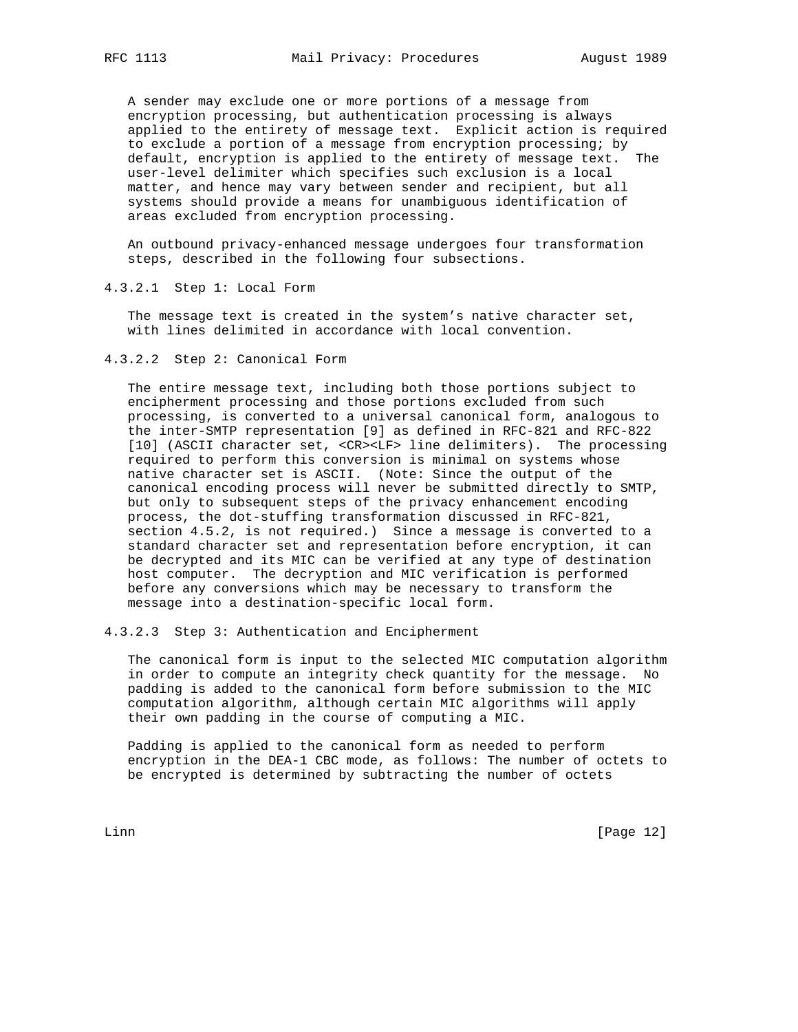A sender may exclude one or more portions of a message from encryption processing, but authentication processing is always applied to the entirety of message text. Explicit action is required to exclude a portion of a message from encryption processing; by default, encryption is applied to the entirety of message text. The user-level delimiter which specifies such exclusion is a local matter, and hence may vary between sender and recipient, but all systems should provide a means for unambiguous identification of areas excluded from encryption processing.

 An outbound privacy-enhanced message undergoes four transformation steps, described in the following four subsections.

4.3.2.1 Step 1: Local Form

 The message text is created in the system's native character set, with lines delimited in accordance with local convention.

#### 4.3.2.2 Step 2: Canonical Form

 The entire message text, including both those portions subject to encipherment processing and those portions excluded from such processing, is converted to a universal canonical form, analogous to the inter-SMTP representation [9] as defined in RFC-821 and RFC-822 [10] (ASCII character set, <CR><LF> line delimiters). The processing required to perform this conversion is minimal on systems whose native character set is ASCII. (Note: Since the output of the canonical encoding process will never be submitted directly to SMTP, but only to subsequent steps of the privacy enhancement encoding process, the dot-stuffing transformation discussed in RFC-821, section 4.5.2, is not required.) Since a message is converted to a standard character set and representation before encryption, it can be decrypted and its MIC can be verified at any type of destination host computer. The decryption and MIC verification is performed before any conversions which may be necessary to transform the message into a destination-specific local form.

4.3.2.3 Step 3: Authentication and Encipherment

 The canonical form is input to the selected MIC computation algorithm in order to compute an integrity check quantity for the message. No padding is added to the canonical form before submission to the MIC computation algorithm, although certain MIC algorithms will apply their own padding in the course of computing a MIC.

 Padding is applied to the canonical form as needed to perform encryption in the DEA-1 CBC mode, as follows: The number of octets to be encrypted is determined by subtracting the number of octets

Linn [Page 12]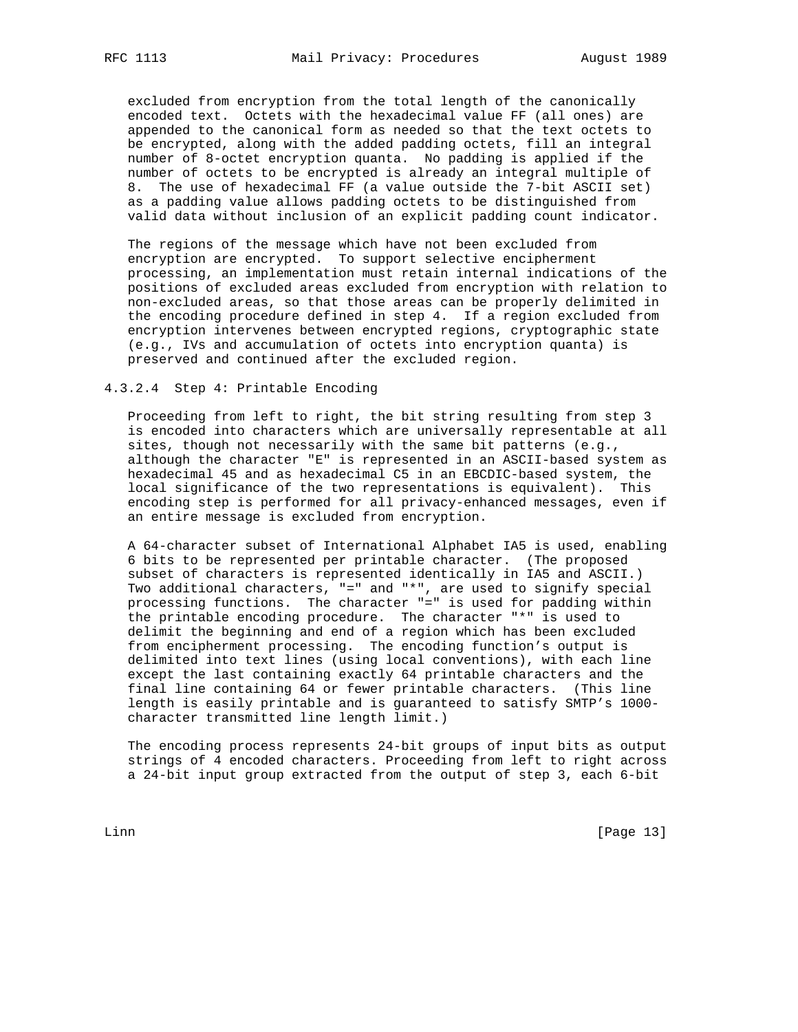excluded from encryption from the total length of the canonically encoded text. Octets with the hexadecimal value FF (all ones) are appended to the canonical form as needed so that the text octets to be encrypted, along with the added padding octets, fill an integral number of 8-octet encryption quanta. No padding is applied if the number of octets to be encrypted is already an integral multiple of 8. The use of hexadecimal FF (a value outside the 7-bit ASCII set) as a padding value allows padding octets to be distinguished from valid data without inclusion of an explicit padding count indicator.

 The regions of the message which have not been excluded from encryption are encrypted. To support selective encipherment processing, an implementation must retain internal indications of the positions of excluded areas excluded from encryption with relation to non-excluded areas, so that those areas can be properly delimited in the encoding procedure defined in step 4. If a region excluded from encryption intervenes between encrypted regions, cryptographic state (e.g., IVs and accumulation of octets into encryption quanta) is preserved and continued after the excluded region.

#### 4.3.2.4 Step 4: Printable Encoding

 Proceeding from left to right, the bit string resulting from step 3 is encoded into characters which are universally representable at all sites, though not necessarily with the same bit patterns (e.g., although the character "E" is represented in an ASCII-based system as hexadecimal 45 and as hexadecimal C5 in an EBCDIC-based system, the local significance of the two representations is equivalent). This encoding step is performed for all privacy-enhanced messages, even if an entire message is excluded from encryption.

 A 64-character subset of International Alphabet IA5 is used, enabling 6 bits to be represented per printable character. (The proposed subset of characters is represented identically in IA5 and ASCII.) Two additional characters, "=" and "\*", are used to signify special processing functions. The character "=" is used for padding within the printable encoding procedure. The character "\*" is used to delimit the beginning and end of a region which has been excluded from encipherment processing. The encoding function's output is delimited into text lines (using local conventions), with each line except the last containing exactly 64 printable characters and the final line containing 64 or fewer printable characters. (This line length is easily printable and is guaranteed to satisfy SMTP's 1000 character transmitted line length limit.)

 The encoding process represents 24-bit groups of input bits as output strings of 4 encoded characters. Proceeding from left to right across a 24-bit input group extracted from the output of step 3, each 6-bit

Linn [Page 13]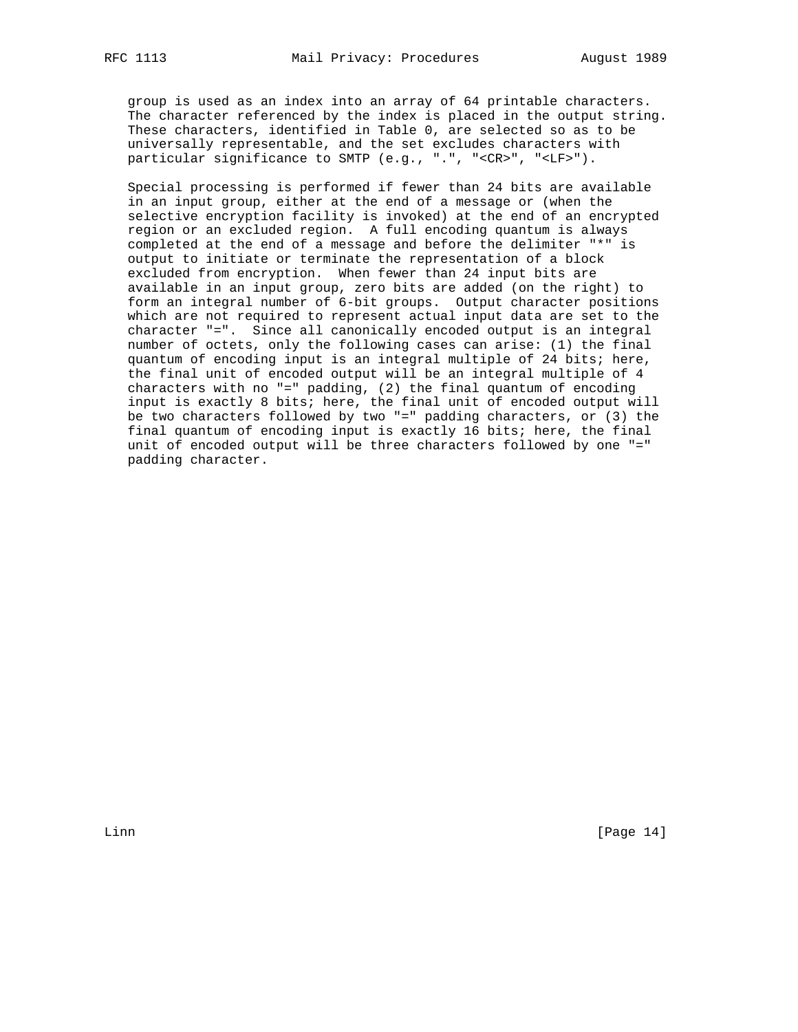group is used as an index into an array of 64 printable characters. The character referenced by the index is placed in the output string. These characters, identified in Table 0, are selected so as to be universally representable, and the set excludes characters with particular significance to SMTP (e.g., ".", "<CR>", "<LF>").

 Special processing is performed if fewer than 24 bits are available in an input group, either at the end of a message or (when the selective encryption facility is invoked) at the end of an encrypted region or an excluded region. A full encoding quantum is always completed at the end of a message and before the delimiter "\*" is output to initiate or terminate the representation of a block excluded from encryption. When fewer than 24 input bits are available in an input group, zero bits are added (on the right) to form an integral number of 6-bit groups. Output character positions which are not required to represent actual input data are set to the character "=". Since all canonically encoded output is an integral number of octets, only the following cases can arise: (1) the final quantum of encoding input is an integral multiple of 24 bits; here, the final unit of encoded output will be an integral multiple of 4 characters with no "=" padding,  $(2)$  the final quantum of encoding input is exactly 8 bits; here, the final unit of encoded output will be two characters followed by two "=" padding characters, or (3) the final quantum of encoding input is exactly 16 bits; here, the final unit of encoded output will be three characters followed by one "=" padding character.

Linn [Page 14]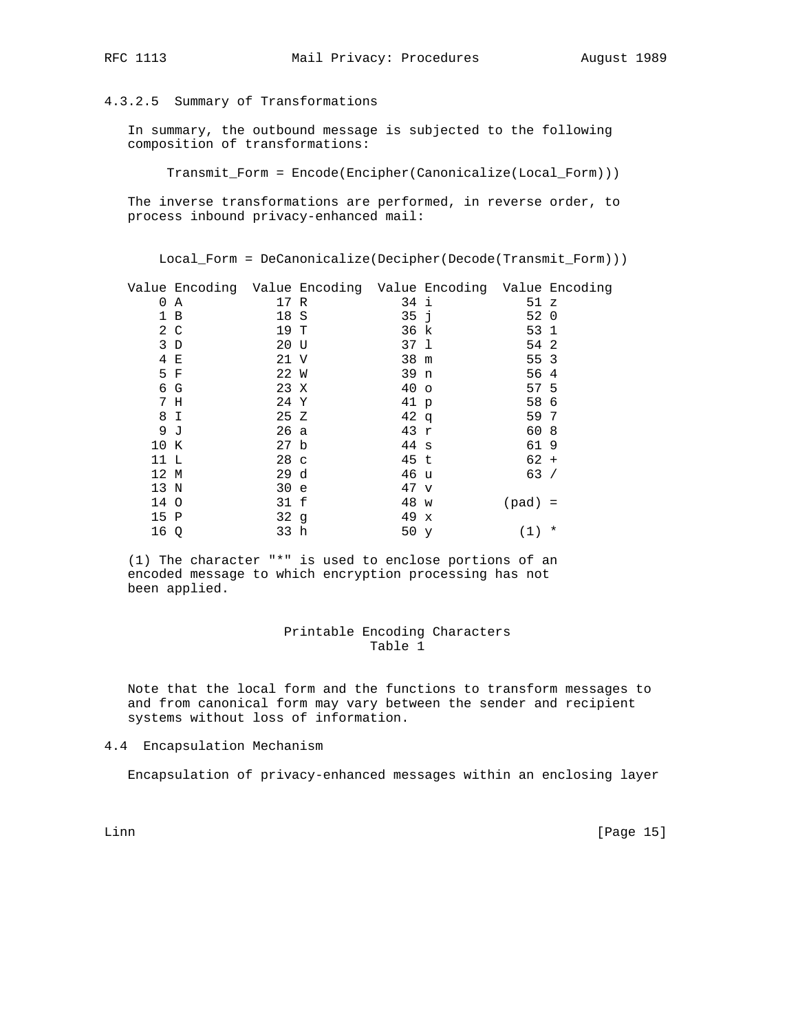# 4.3.2.5 Summary of Transformations

 In summary, the outbound message is subjected to the following composition of transformations:

Transmit\_Form = Encode(Encipher(Canonicalize(Local\_Form)))

 The inverse transformations are performed, in reverse order, to process inbound privacy-enhanced mail:

Local\_Form = DeCanonicalize(Decipher(Decode(Transmit\_Form)))

|      | Value Encoding Value Encoding Value Encoding Value Encoding |      |                 |           |         |
|------|-------------------------------------------------------------|------|-----------------|-----------|---------|
|      | 0 A                                                         | 17 R | 34 i            | 51 z      |         |
|      | 1 B                                                         | 18 S | 35j             | 52 0      |         |
|      | 2 C                                                         | 19 T | 36 k            | 53 1      |         |
|      | 3D                                                          | 20 U | 37 l            | 54 2      |         |
|      | 4 E                                                         | 21 V | 38 m            | 55 3      |         |
|      | 5 F                                                         | 22 W | 39 n            | 56 4      |         |
|      | 6 G                                                         | 23 X | 40 <sub>o</sub> | 57 5      |         |
|      | 7 H                                                         | 24 Y | 41 p            | 58 6      |         |
|      | 8 I                                                         | 25 Z | 42q             | 59 7      |         |
|      | 9 J                                                         | 26a  | 43 $r$          | 60 8      |         |
| 10 K |                                                             | 27 b | 44 s            | 619       |         |
| 11 L |                                                             | 28 c | 45 t            | $62 +$    |         |
| 12 M |                                                             | 29d  | 46 u            | 63/       |         |
| 13 N |                                                             | 30e  | 47 v            |           |         |
| 14 O |                                                             | 31 f | 48 w            | $(pad) =$ |         |
| 15 P |                                                             | 32q  | 49 x            |           |         |
| 16 Q |                                                             | 33 h | 50 y            |           | $\star$ |
|      |                                                             |      |                 |           |         |

 (1) The character "\*" is used to enclose portions of an encoded message to which encryption processing has not been applied.

# Printable Encoding Characters Table 1

 Note that the local form and the functions to transform messages to and from canonical form may vary between the sender and recipient systems without loss of information.

4.4 Encapsulation Mechanism

Encapsulation of privacy-enhanced messages within an enclosing layer

Linn [Page 15]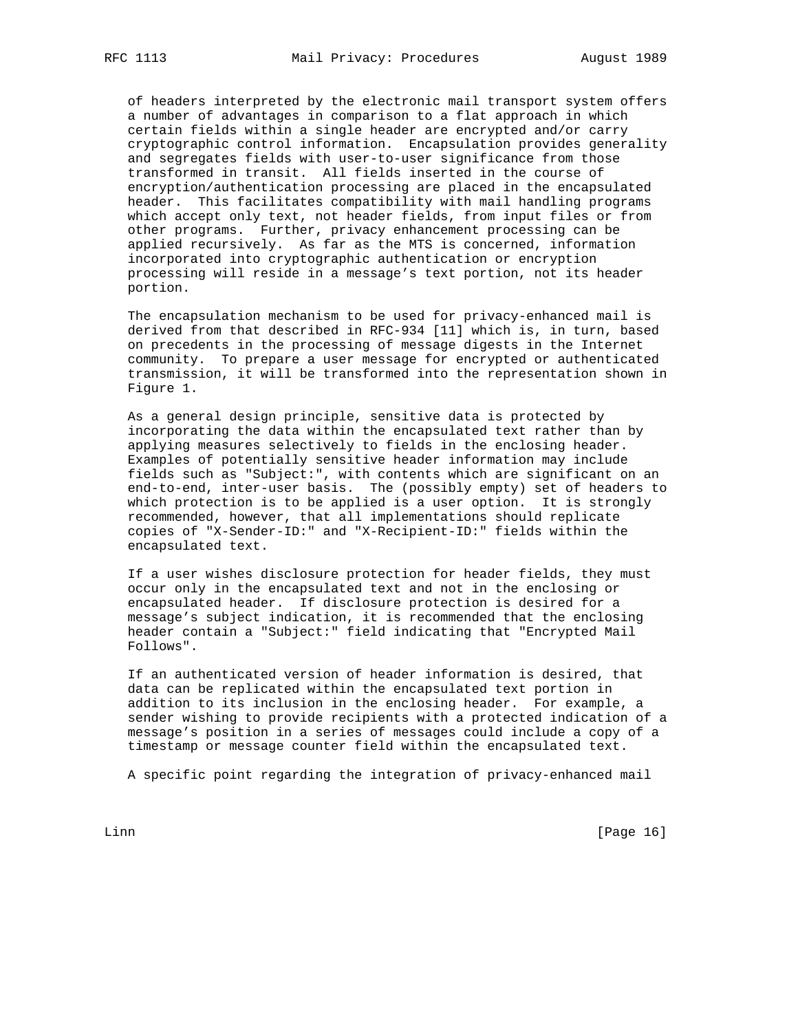of headers interpreted by the electronic mail transport system offers a number of advantages in comparison to a flat approach in which certain fields within a single header are encrypted and/or carry cryptographic control information. Encapsulation provides generality and segregates fields with user-to-user significance from those transformed in transit. All fields inserted in the course of encryption/authentication processing are placed in the encapsulated header. This facilitates compatibility with mail handling programs which accept only text, not header fields, from input files or from other programs. Further, privacy enhancement processing can be applied recursively. As far as the MTS is concerned, information incorporated into cryptographic authentication or encryption processing will reside in a message's text portion, not its header portion.

 The encapsulation mechanism to be used for privacy-enhanced mail is derived from that described in RFC-934 [11] which is, in turn, based on precedents in the processing of message digests in the Internet community. To prepare a user message for encrypted or authenticated transmission, it will be transformed into the representation shown in Figure 1.

 As a general design principle, sensitive data is protected by incorporating the data within the encapsulated text rather than by applying measures selectively to fields in the enclosing header. Examples of potentially sensitive header information may include fields such as "Subject:", with contents which are significant on an end-to-end, inter-user basis. The (possibly empty) set of headers to which protection is to be applied is a user option. It is strongly recommended, however, that all implementations should replicate copies of "X-Sender-ID:" and "X-Recipient-ID:" fields within the encapsulated text.

 If a user wishes disclosure protection for header fields, they must occur only in the encapsulated text and not in the enclosing or encapsulated header. If disclosure protection is desired for a message's subject indication, it is recommended that the enclosing header contain a "Subject:" field indicating that "Encrypted Mail Follows".

 If an authenticated version of header information is desired, that data can be replicated within the encapsulated text portion in addition to its inclusion in the enclosing header. For example, a sender wishing to provide recipients with a protected indication of a message's position in a series of messages could include a copy of a timestamp or message counter field within the encapsulated text.

A specific point regarding the integration of privacy-enhanced mail

Linn [Page 16]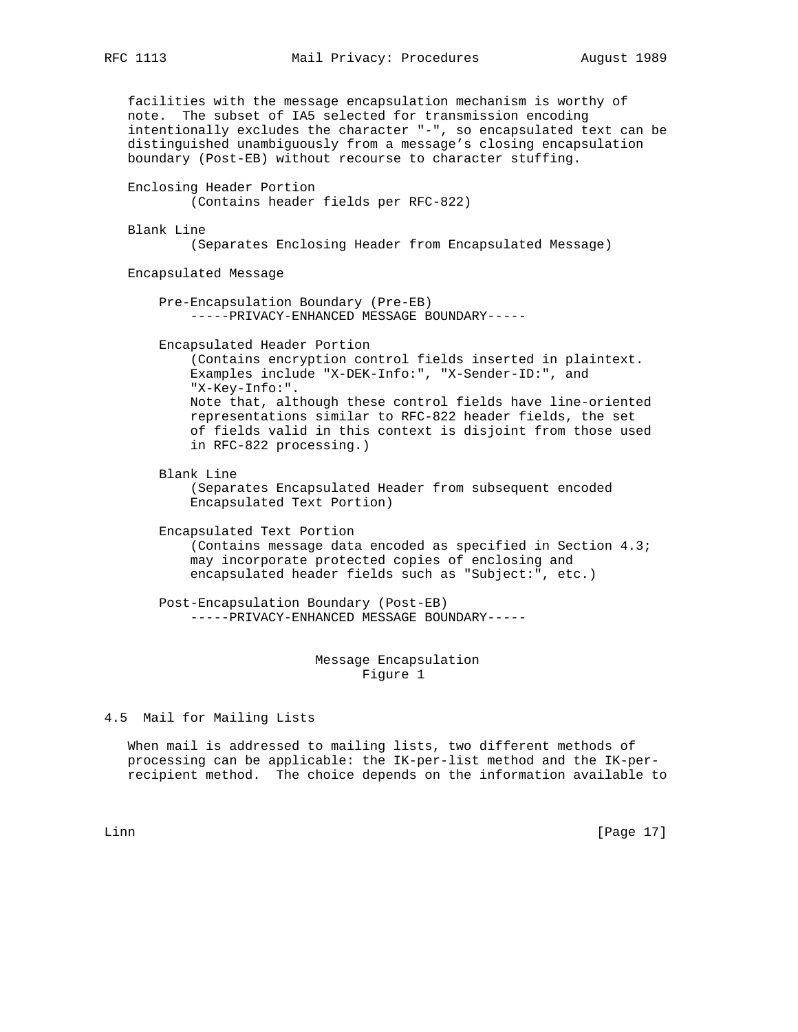facilities with the message encapsulation mechanism is worthy of note. The subset of IA5 selected for transmission encoding intentionally excludes the character "-", so encapsulated text can be distinguished unambiguously from a message's closing encapsulation boundary (Post-EB) without recourse to character stuffing.

 Enclosing Header Portion (Contains header fields per RFC-822)

#### Blank Line

(Separates Enclosing Header from Encapsulated Message)

Encapsulated Message

 Pre-Encapsulation Boundary (Pre-EB) -----PRIVACY-ENHANCED MESSAGE BOUNDARY-----

Encapsulated Header Portion

 (Contains encryption control fields inserted in plaintext. Examples include "X-DEK-Info:", "X-Sender-ID:", and "X-Key-Info:". Note that, although these control fields have line-oriented representations similar to RFC-822 header fields, the set of fields valid in this context is disjoint from those used in RFC-822 processing.)

Blank Line

 (Separates Encapsulated Header from subsequent encoded Encapsulated Text Portion)

Encapsulated Text Portion

 (Contains message data encoded as specified in Section 4.3; may incorporate protected copies of enclosing and encapsulated header fields such as "Subject:", etc.)

 Post-Encapsulation Boundary (Post-EB) -----PRIVACY-ENHANCED MESSAGE BOUNDARY-----

> Message Encapsulation Figure 1

4.5 Mail for Mailing Lists

 When mail is addressed to mailing lists, two different methods of processing can be applicable: the IK-per-list method and the IK-per recipient method. The choice depends on the information available to

Linn [Page 17]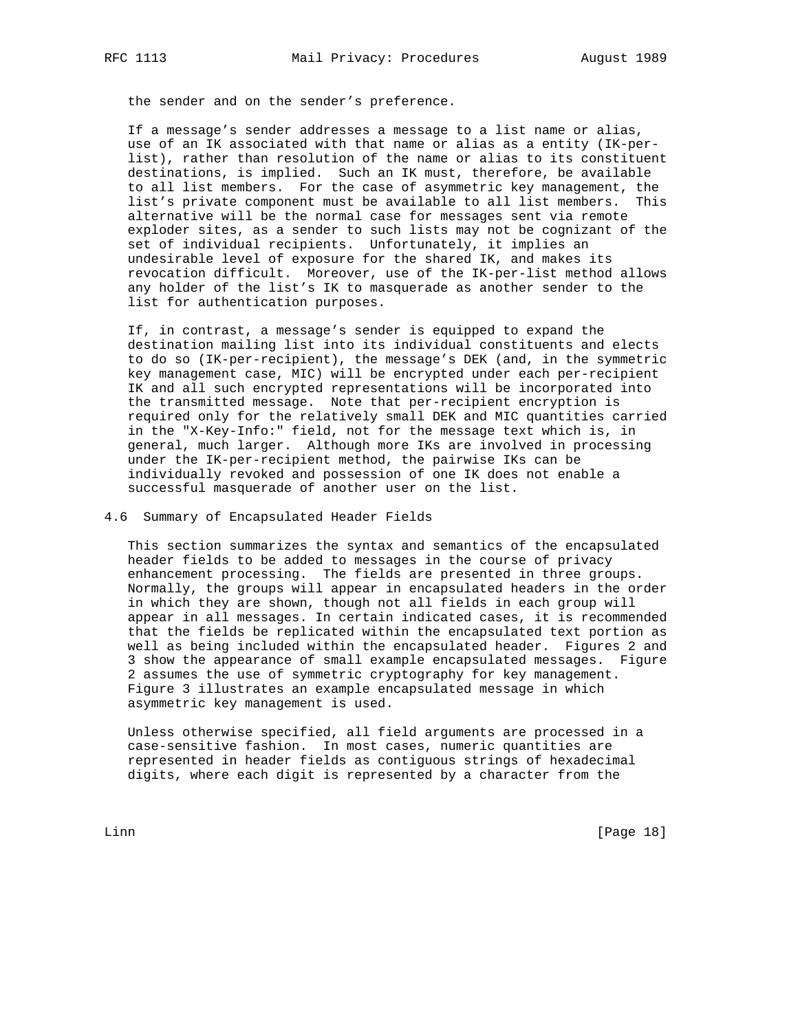the sender and on the sender's preference.

 If a message's sender addresses a message to a list name or alias, use of an IK associated with that name or alias as a entity (IK-per list), rather than resolution of the name or alias to its constituent destinations, is implied. Such an IK must, therefore, be available to all list members. For the case of asymmetric key management, the list's private component must be available to all list members. This alternative will be the normal case for messages sent via remote exploder sites, as a sender to such lists may not be cognizant of the set of individual recipients. Unfortunately, it implies an undesirable level of exposure for the shared IK, and makes its revocation difficult. Moreover, use of the IK-per-list method allows any holder of the list's IK to masquerade as another sender to the list for authentication purposes.

 If, in contrast, a message's sender is equipped to expand the destination mailing list into its individual constituents and elects to do so (IK-per-recipient), the message's DEK (and, in the symmetric key management case, MIC) will be encrypted under each per-recipient IK and all such encrypted representations will be incorporated into the transmitted message. Note that per-recipient encryption is required only for the relatively small DEK and MIC quantities carried in the "X-Key-Info:" field, not for the message text which is, in general, much larger. Although more IKs are involved in processing under the IK-per-recipient method, the pairwise IKs can be individually revoked and possession of one IK does not enable a successful masquerade of another user on the list.

#### 4.6 Summary of Encapsulated Header Fields

 This section summarizes the syntax and semantics of the encapsulated header fields to be added to messages in the course of privacy enhancement processing. The fields are presented in three groups. Normally, the groups will appear in encapsulated headers in the order in which they are shown, though not all fields in each group will appear in all messages. In certain indicated cases, it is recommended that the fields be replicated within the encapsulated text portion as well as being included within the encapsulated header. Figures 2 and 3 show the appearance of small example encapsulated messages. Figure 2 assumes the use of symmetric cryptography for key management. Figure 3 illustrates an example encapsulated message in which asymmetric key management is used.

 Unless otherwise specified, all field arguments are processed in a case-sensitive fashion. In most cases, numeric quantities are represented in header fields as contiguous strings of hexadecimal digits, where each digit is represented by a character from the

Linn [Page 18]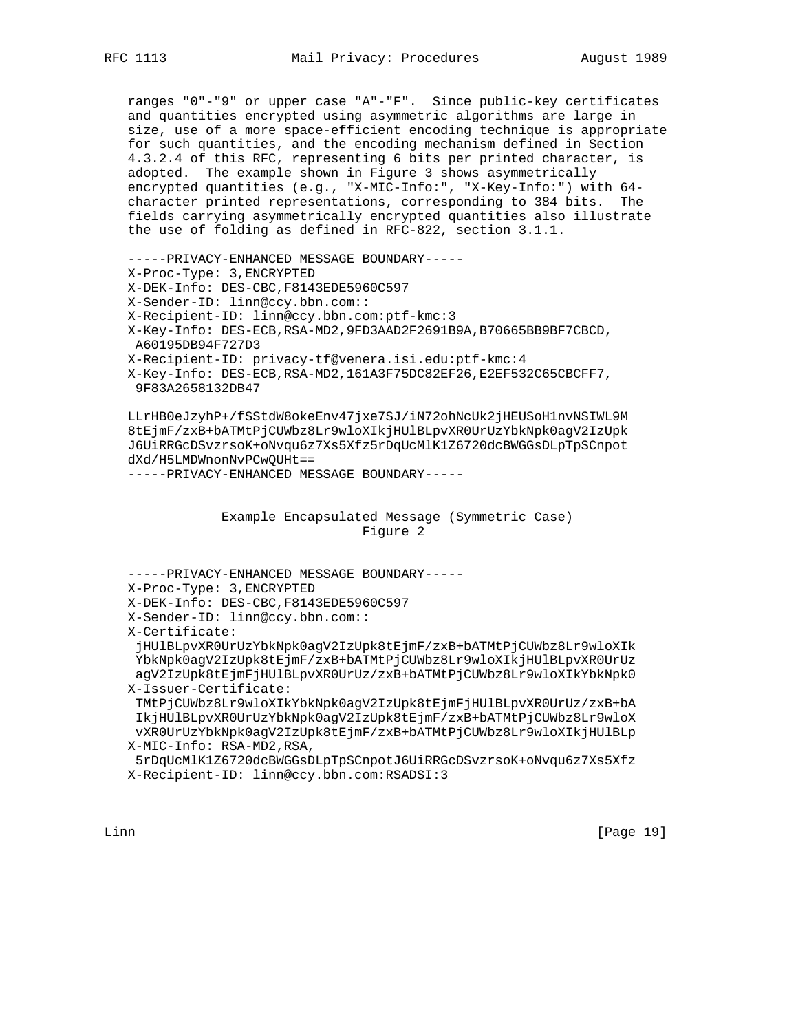ranges "0"-"9" or upper case "A"-"F". Since public-key certificates and quantities encrypted using asymmetric algorithms are large in size, use of a more space-efficient encoding technique is appropriate for such quantities, and the encoding mechanism defined in Section 4.3.2.4 of this RFC, representing 6 bits per printed character, is adopted. The example shown in Figure 3 shows asymmetrically encrypted quantities (e.g., "X-MIC-Info:", "X-Key-Info:") with 64 character printed representations, corresponding to 384 bits. The fields carrying asymmetrically encrypted quantities also illustrate the use of folding as defined in RFC-822, section 3.1.1.

 -----PRIVACY-ENHANCED MESSAGE BOUNDARY----- X-Proc-Type: 3,ENCRYPTED X-DEK-Info: DES-CBC,F8143EDE5960C597 X-Sender-ID: linn@ccy.bbn.com:: X-Recipient-ID: linn@ccy.bbn.com:ptf-kmc:3 X-Key-Info: DES-ECB,RSA-MD2,9FD3AAD2F2691B9A,B70665BB9BF7CBCD, A60195DB94F727D3 X-Recipient-ID: privacy-tf@venera.isi.edu:ptf-kmc:4 X-Key-Info: DES-ECB,RSA-MD2,161A3F75DC82EF26,E2EF532C65CBCFF7, 9F83A2658132DB47

 LLrHB0eJzyhP+/fSStdW8okeEnv47jxe7SJ/iN72ohNcUk2jHEUSoH1nvNSIWL9M 8tEjmF/zxB+bATMtPjCUWbz8Lr9wloXIkjHUlBLpvXR0UrUzYbkNpk0agV2IzUpk J6UiRRGcDSvzrsoK+oNvqu6z7Xs5Xfz5rDqUcMlK1Z6720dcBWGGsDLpTpSCnpot dXd/H5LMDWnonNvPCwQUHt==

-----PRIVACY-ENHANCED MESSAGE BOUNDARY-----

 Example Encapsulated Message (Symmetric Case) Figure 2

-----PRIVACY-ENHANCED MESSAGE BOUNDARY-----

X-Proc-Type: 3,ENCRYPTED

X-DEK-Info: DES-CBC,F8143EDE5960C597

X-Sender-ID: linn@ccy.bbn.com::

X-Certificate:

 jHUlBLpvXR0UrUzYbkNpk0agV2IzUpk8tEjmF/zxB+bATMtPjCUWbz8Lr9wloXIk YbkNpk0agV2IzUpk8tEjmF/zxB+bATMtPjCUWbz8Lr9wloXIkjHUlBLpvXR0UrUz agV2IzUpk8tEjmFjHUlBLpvXR0UrUz/zxB+bATMtPjCUWbz8Lr9wloXIkYbkNpk0 X-Issuer-Certificate:

 TMtPjCUWbz8Lr9wloXIkYbkNpk0agV2IzUpk8tEjmFjHUlBLpvXR0UrUz/zxB+bA IkjHUlBLpvXR0UrUzYbkNpk0agV2IzUpk8tEjmF/zxB+bATMtPjCUWbz8Lr9wloX vXR0UrUzYbkNpk0agV2IzUpk8tEjmF/zxB+bATMtPjCUWbz8Lr9wloXIkjHUlBLp X-MIC-Info: RSA-MD2,RSA,

 5rDqUcMlK1Z6720dcBWGGsDLpTpSCnpotJ6UiRRGcDSvzrsoK+oNvqu6z7Xs5Xfz X-Recipient-ID: linn@ccy.bbn.com:RSADSI:3

Linn [Page 19]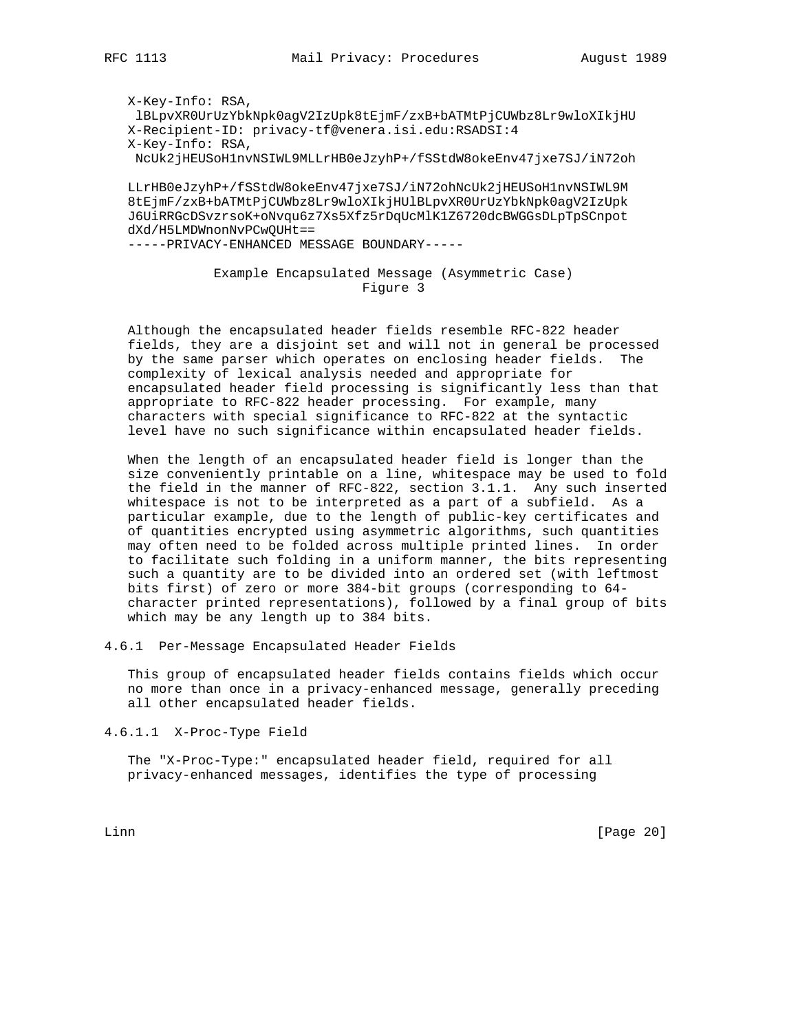X-Key-Info: RSA, lBLpvXR0UrUzYbkNpk0agV2IzUpk8tEjmF/zxB+bATMtPjCUWbz8Lr9wloXIkjHU X-Recipient-ID: privacy-tf@venera.isi.edu:RSADSI:4 X-Key-Info: RSA, NcUk2jHEUSoH1nvNSIWL9MLLrHB0eJzyhP+/fSStdW8okeEnv47jxe7SJ/iN72oh

 LLrHB0eJzyhP+/fSStdW8okeEnv47jxe7SJ/iN72ohNcUk2jHEUSoH1nvNSIWL9M 8tEjmF/zxB+bATMtPjCUWbz8Lr9wloXIkjHUlBLpvXR0UrUzYbkNpk0agV2IzUpk J6UiRRGcDSvzrsoK+oNvqu6z7Xs5Xfz5rDqUcMlK1Z6720dcBWGGsDLpTpSCnpot dXd/H5LMDWnonNvPCwQUHt==

-----PRIVACY-ENHANCED MESSAGE BOUNDARY-----

 Example Encapsulated Message (Asymmetric Case) Figure 3

 Although the encapsulated header fields resemble RFC-822 header fields, they are a disjoint set and will not in general be processed by the same parser which operates on enclosing header fields. The complexity of lexical analysis needed and appropriate for encapsulated header field processing is significantly less than that appropriate to RFC-822 header processing. For example, many characters with special significance to RFC-822 at the syntactic level have no such significance within encapsulated header fields.

 When the length of an encapsulated header field is longer than the size conveniently printable on a line, whitespace may be used to fold the field in the manner of RFC-822, section 3.1.1. Any such inserted whitespace is not to be interpreted as a part of a subfield. As a particular example, due to the length of public-key certificates and of quantities encrypted using asymmetric algorithms, such quantities may often need to be folded across multiple printed lines. In order to facilitate such folding in a uniform manner, the bits representing such a quantity are to be divided into an ordered set (with leftmost bits first) of zero or more 384-bit groups (corresponding to 64 character printed representations), followed by a final group of bits which may be any length up to 384 bits.

4.6.1 Per-Message Encapsulated Header Fields

 This group of encapsulated header fields contains fields which occur no more than once in a privacy-enhanced message, generally preceding all other encapsulated header fields.

4.6.1.1 X-Proc-Type Field

 The "X-Proc-Type:" encapsulated header field, required for all privacy-enhanced messages, identifies the type of processing

Linn [Page 20]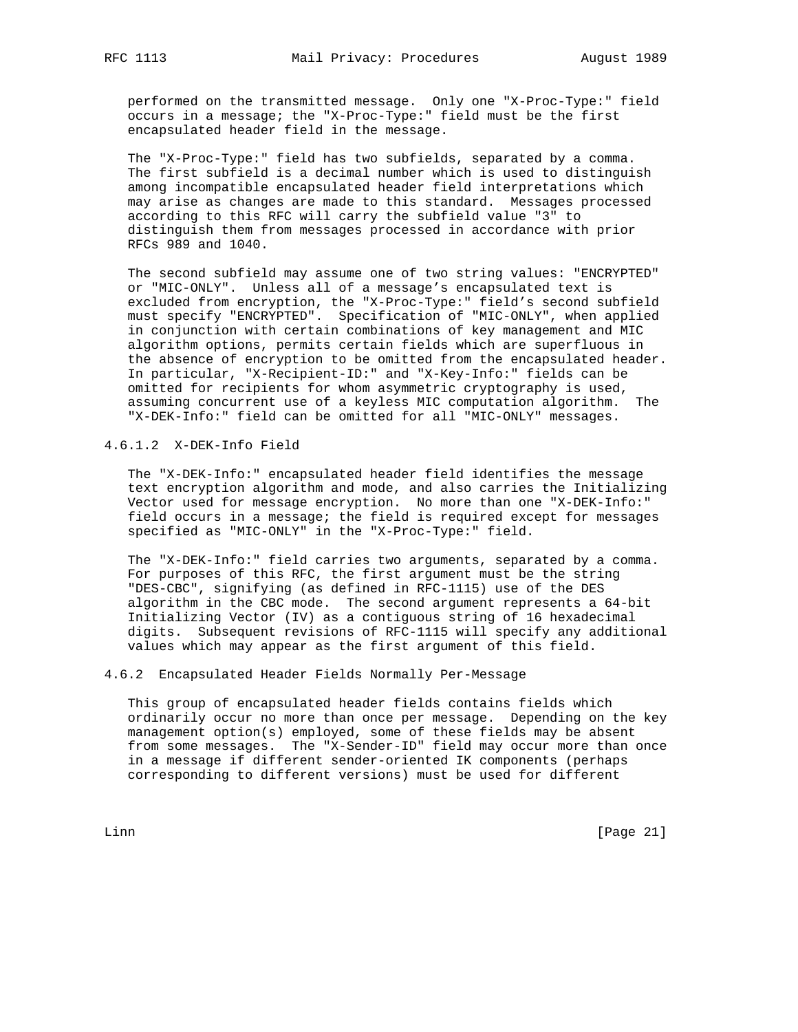performed on the transmitted message. Only one "X-Proc-Type:" field occurs in a message; the "X-Proc-Type:" field must be the first encapsulated header field in the message.

 The "X-Proc-Type:" field has two subfields, separated by a comma. The first subfield is a decimal number which is used to distinguish among incompatible encapsulated header field interpretations which may arise as changes are made to this standard. Messages processed according to this RFC will carry the subfield value "3" to distinguish them from messages processed in accordance with prior RFCs 989 and 1040.

 The second subfield may assume one of two string values: "ENCRYPTED" or "MIC-ONLY". Unless all of a message's encapsulated text is excluded from encryption, the "X-Proc-Type:" field's second subfield must specify "ENCRYPTED". Specification of "MIC-ONLY", when applied in conjunction with certain combinations of key management and MIC algorithm options, permits certain fields which are superfluous in the absence of encryption to be omitted from the encapsulated header. In particular, "X-Recipient-ID:" and "X-Key-Info:" fields can be omitted for recipients for whom asymmetric cryptography is used, assuming concurrent use of a keyless MIC computation algorithm. The "X-DEK-Info:" field can be omitted for all "MIC-ONLY" messages.

4.6.1.2 X-DEK-Info Field

 The "X-DEK-Info:" encapsulated header field identifies the message text encryption algorithm and mode, and also carries the Initializing Vector used for message encryption. No more than one "X-DEK-Info:" field occurs in a message; the field is required except for messages specified as "MIC-ONLY" in the "X-Proc-Type:" field.

 The "X-DEK-Info:" field carries two arguments, separated by a comma. For purposes of this RFC, the first argument must be the string "DES-CBC", signifying (as defined in RFC-1115) use of the DES algorithm in the CBC mode. The second argument represents a 64-bit Initializing Vector (IV) as a contiguous string of 16 hexadecimal digits. Subsequent revisions of RFC-1115 will specify any additional values which may appear as the first argument of this field.

4.6.2 Encapsulated Header Fields Normally Per-Message

 This group of encapsulated header fields contains fields which ordinarily occur no more than once per message. Depending on the key management option(s) employed, some of these fields may be absent from some messages. The "X-Sender-ID" field may occur more than once in a message if different sender-oriented IK components (perhaps corresponding to different versions) must be used for different

Linn [Page 21]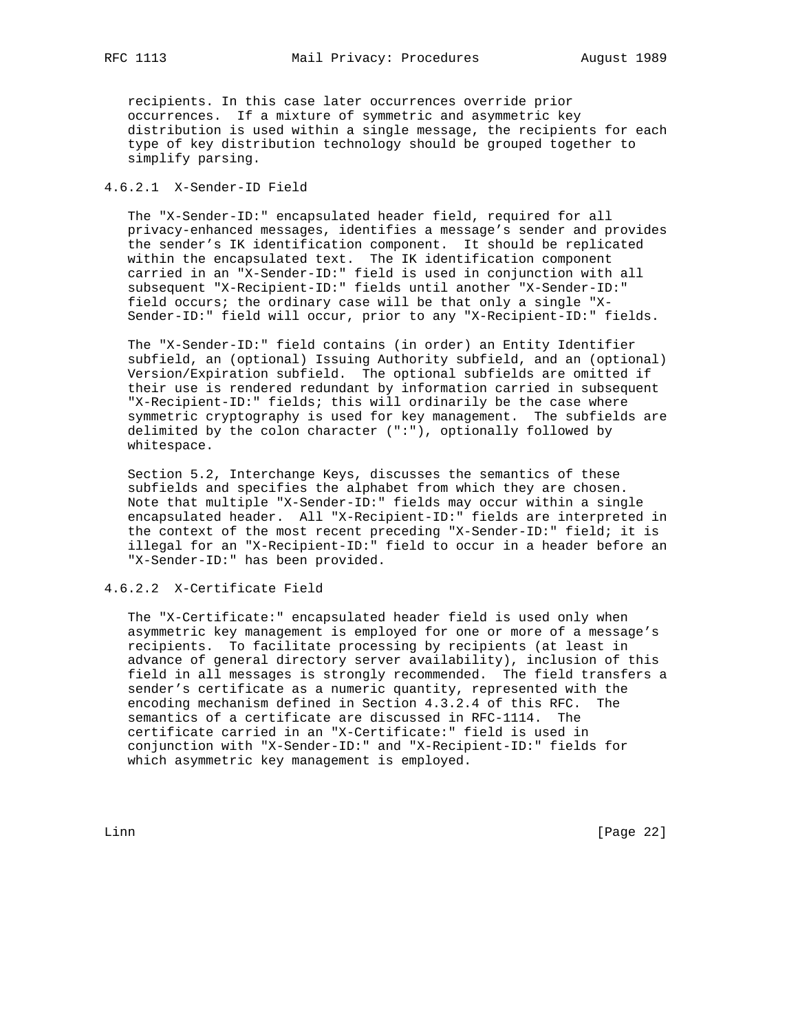recipients. In this case later occurrences override prior occurrences. If a mixture of symmetric and asymmetric key distribution is used within a single message, the recipients for each type of key distribution technology should be grouped together to simplify parsing.

# 4.6.2.1 X-Sender-ID Field

 The "X-Sender-ID:" encapsulated header field, required for all privacy-enhanced messages, identifies a message's sender and provides the sender's IK identification component. It should be replicated within the encapsulated text. The IK identification component carried in an "X-Sender-ID:" field is used in conjunction with all subsequent "X-Recipient-ID:" fields until another "X-Sender-ID:" field occurs; the ordinary case will be that only a single "X- Sender-ID:" field will occur, prior to any "X-Recipient-ID:" fields.

 The "X-Sender-ID:" field contains (in order) an Entity Identifier subfield, an (optional) Issuing Authority subfield, and an (optional) Version/Expiration subfield. The optional subfields are omitted if their use is rendered redundant by information carried in subsequent "X-Recipient-ID:" fields; this will ordinarily be the case where symmetric cryptography is used for key management. The subfields are delimited by the colon character (":"), optionally followed by whitespace.

 Section 5.2, Interchange Keys, discusses the semantics of these subfields and specifies the alphabet from which they are chosen. Note that multiple "X-Sender-ID:" fields may occur within a single encapsulated header. All "X-Recipient-ID:" fields are interpreted in the context of the most recent preceding "X-Sender-ID:" field; it is illegal for an "X-Recipient-ID:" field to occur in a header before an "X-Sender-ID:" has been provided.

# 4.6.2.2 X-Certificate Field

 The "X-Certificate:" encapsulated header field is used only when asymmetric key management is employed for one or more of a message's recipients. To facilitate processing by recipients (at least in advance of general directory server availability), inclusion of this field in all messages is strongly recommended. The field transfers a sender's certificate as a numeric quantity, represented with the encoding mechanism defined in Section 4.3.2.4 of this RFC. The semantics of a certificate are discussed in RFC-1114. The certificate carried in an "X-Certificate:" field is used in conjunction with "X-Sender-ID:" and "X-Recipient-ID:" fields for which asymmetric key management is employed.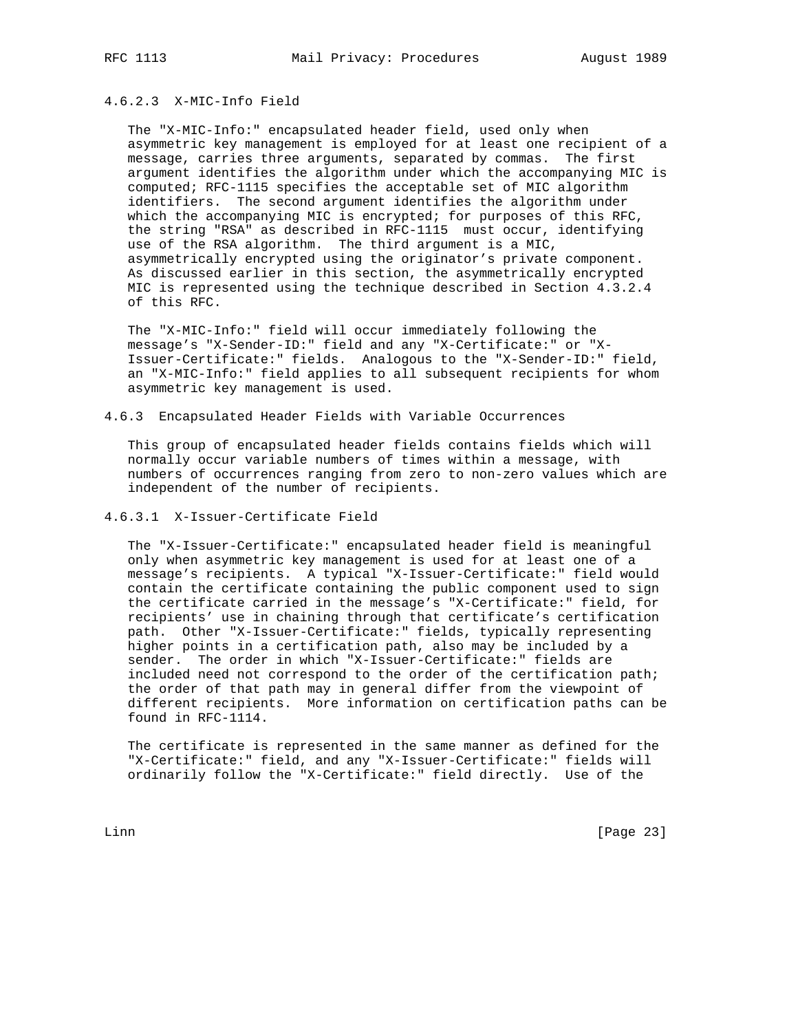# 4.6.2.3 X-MIC-Info Field

 The "X-MIC-Info:" encapsulated header field, used only when asymmetric key management is employed for at least one recipient of a message, carries three arguments, separated by commas. The first argument identifies the algorithm under which the accompanying MIC is computed; RFC-1115 specifies the acceptable set of MIC algorithm identifiers. The second argument identifies the algorithm under which the accompanying MIC is encrypted; for purposes of this RFC, the string "RSA" as described in RFC-1115 must occur, identifying use of the RSA algorithm. The third argument is a MIC, asymmetrically encrypted using the originator's private component. As discussed earlier in this section, the asymmetrically encrypted MIC is represented using the technique described in Section 4.3.2.4 of this RFC.

 The "X-MIC-Info:" field will occur immediately following the message's "X-Sender-ID:" field and any "X-Certificate:" or "X- Issuer-Certificate:" fields. Analogous to the "X-Sender-ID:" field, an "X-MIC-Info:" field applies to all subsequent recipients for whom asymmetric key management is used.

## 4.6.3 Encapsulated Header Fields with Variable Occurrences

 This group of encapsulated header fields contains fields which will normally occur variable numbers of times within a message, with numbers of occurrences ranging from zero to non-zero values which are independent of the number of recipients.

## 4.6.3.1 X-Issuer-Certificate Field

 The "X-Issuer-Certificate:" encapsulated header field is meaningful only when asymmetric key management is used for at least one of a message's recipients. A typical "X-Issuer-Certificate:" field would contain the certificate containing the public component used to sign the certificate carried in the message's "X-Certificate:" field, for recipients' use in chaining through that certificate's certification path. Other "X-Issuer-Certificate:" fields, typically representing higher points in a certification path, also may be included by a sender. The order in which "X-Issuer-Certificate:" fields are included need not correspond to the order of the certification path; the order of that path may in general differ from the viewpoint of different recipients. More information on certification paths can be found in RFC-1114.

 The certificate is represented in the same manner as defined for the "X-Certificate:" field, and any "X-Issuer-Certificate:" fields will ordinarily follow the "X-Certificate:" field directly. Use of the

Linn [Page 23]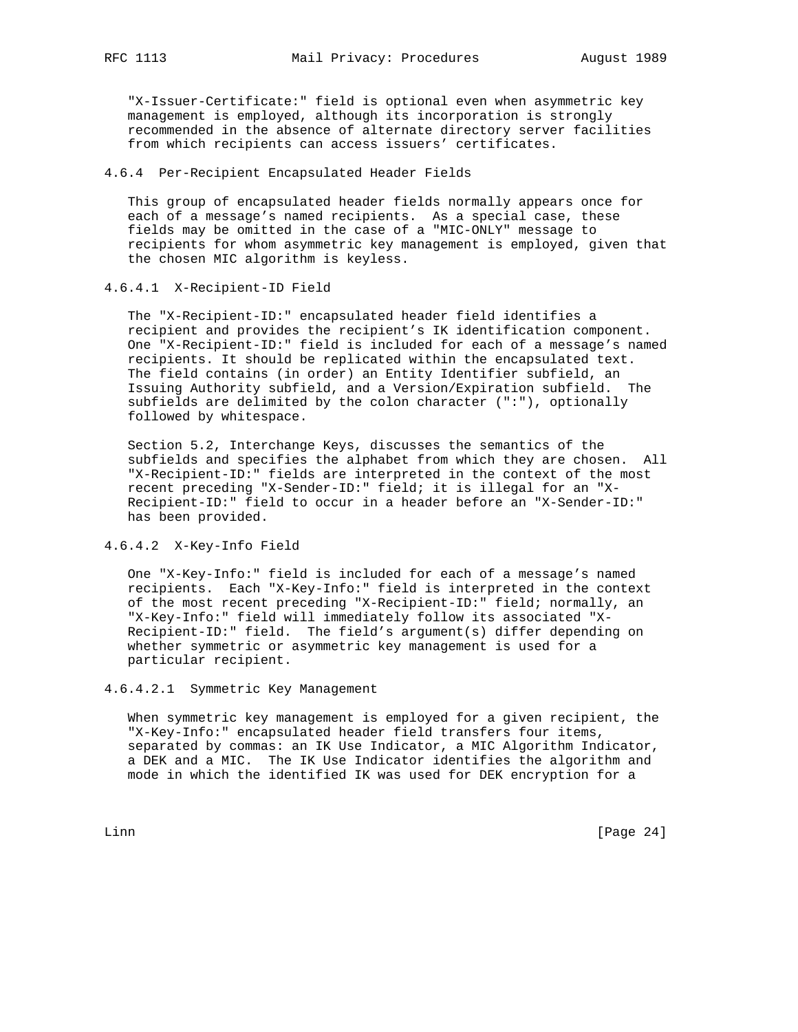"X-Issuer-Certificate:" field is optional even when asymmetric key management is employed, although its incorporation is strongly recommended in the absence of alternate directory server facilities from which recipients can access issuers' certificates.

## 4.6.4 Per-Recipient Encapsulated Header Fields

 This group of encapsulated header fields normally appears once for each of a message's named recipients. As a special case, these fields may be omitted in the case of a "MIC-ONLY" message to recipients for whom asymmetric key management is employed, given that the chosen MIC algorithm is keyless.

## 4.6.4.1 X-Recipient-ID Field

 The "X-Recipient-ID:" encapsulated header field identifies a recipient and provides the recipient's IK identification component. One "X-Recipient-ID:" field is included for each of a message's named recipients. It should be replicated within the encapsulated text. The field contains (in order) an Entity Identifier subfield, an Issuing Authority subfield, and a Version/Expiration subfield. The subfields are delimited by the colon character (":"), optionally followed by whitespace.

 Section 5.2, Interchange Keys, discusses the semantics of the subfields and specifies the alphabet from which they are chosen. All "X-Recipient-ID:" fields are interpreted in the context of the most recent preceding "X-Sender-ID:" field; it is illegal for an "X- Recipient-ID:" field to occur in a header before an "X-Sender-ID:" has been provided.

## 4.6.4.2 X-Key-Info Field

 One "X-Key-Info:" field is included for each of a message's named recipients. Each "X-Key-Info:" field is interpreted in the context of the most recent preceding "X-Recipient-ID:" field; normally, an "X-Key-Info:" field will immediately follow its associated "X- Recipient-ID:" field. The field's argument(s) differ depending on whether symmetric or asymmetric key management is used for a particular recipient.

# 4.6.4.2.1 Symmetric Key Management

 When symmetric key management is employed for a given recipient, the "X-Key-Info:" encapsulated header field transfers four items, separated by commas: an IK Use Indicator, a MIC Algorithm Indicator, a DEK and a MIC. The IK Use Indicator identifies the algorithm and mode in which the identified IK was used for DEK encryption for a

Linn [Page 24]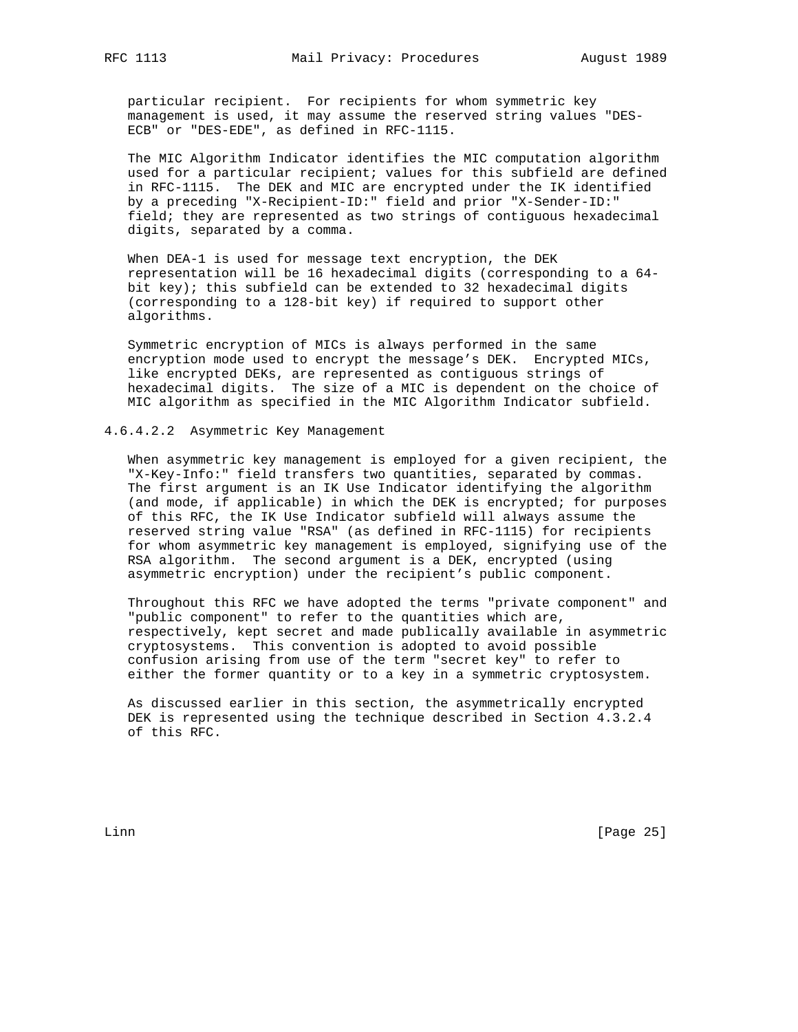particular recipient. For recipients for whom symmetric key management is used, it may assume the reserved string values "DES- ECB" or "DES-EDE", as defined in RFC-1115.

 The MIC Algorithm Indicator identifies the MIC computation algorithm used for a particular recipient; values for this subfield are defined in RFC-1115. The DEK and MIC are encrypted under the IK identified by a preceding "X-Recipient-ID:" field and prior "X-Sender-ID:" field; they are represented as two strings of contiguous hexadecimal digits, separated by a comma.

When DEA-1 is used for message text encryption, the DEK representation will be 16 hexadecimal digits (corresponding to a 64 bit key); this subfield can be extended to 32 hexadecimal digits (corresponding to a 128-bit key) if required to support other algorithms.

 Symmetric encryption of MICs is always performed in the same encryption mode used to encrypt the message's DEK. Encrypted MICs, like encrypted DEKs, are represented as contiguous strings of hexadecimal digits. The size of a MIC is dependent on the choice of MIC algorithm as specified in the MIC Algorithm Indicator subfield.

## 4.6.4.2.2 Asymmetric Key Management

 When asymmetric key management is employed for a given recipient, the "X-Key-Info:" field transfers two quantities, separated by commas. The first argument is an IK Use Indicator identifying the algorithm (and mode, if applicable) in which the DEK is encrypted; for purposes of this RFC, the IK Use Indicator subfield will always assume the reserved string value "RSA" (as defined in RFC-1115) for recipients for whom asymmetric key management is employed, signifying use of the RSA algorithm. The second argument is a DEK, encrypted (using asymmetric encryption) under the recipient's public component.

 Throughout this RFC we have adopted the terms "private component" and "public component" to refer to the quantities which are, respectively, kept secret and made publically available in asymmetric cryptosystems. This convention is adopted to avoid possible confusion arising from use of the term "secret key" to refer to either the former quantity or to a key in a symmetric cryptosystem.

 As discussed earlier in this section, the asymmetrically encrypted DEK is represented using the technique described in Section 4.3.2.4 of this RFC.

Linn [Page 25]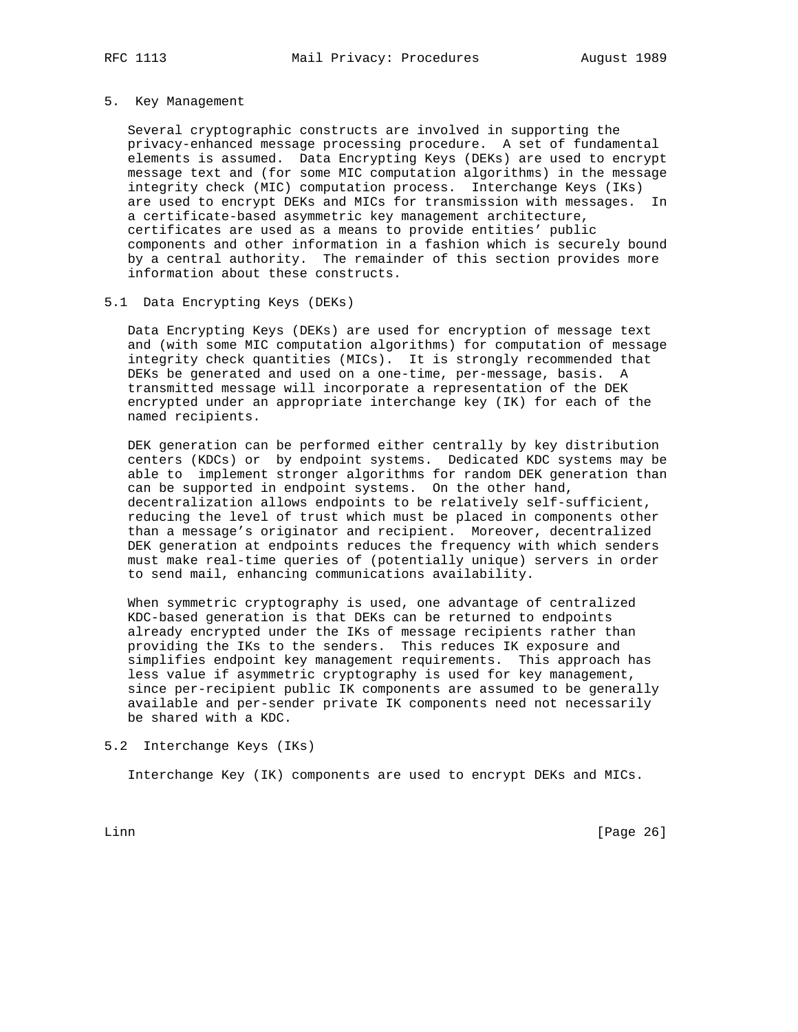#### 5. Key Management

 Several cryptographic constructs are involved in supporting the privacy-enhanced message processing procedure. A set of fundamental elements is assumed. Data Encrypting Keys (DEKs) are used to encrypt message text and (for some MIC computation algorithms) in the message integrity check (MIC) computation process. Interchange Keys (IKs) are used to encrypt DEKs and MICs for transmission with messages. In a certificate-based asymmetric key management architecture, certificates are used as a means to provide entities' public components and other information in a fashion which is securely bound by a central authority. The remainder of this section provides more information about these constructs.

# 5.1 Data Encrypting Keys (DEKs)

 Data Encrypting Keys (DEKs) are used for encryption of message text and (with some MIC computation algorithms) for computation of message integrity check quantities (MICs). It is strongly recommended that DEKs be generated and used on a one-time, per-message, basis. A transmitted message will incorporate a representation of the DEK encrypted under an appropriate interchange key (IK) for each of the named recipients.

 DEK generation can be performed either centrally by key distribution centers (KDCs) or by endpoint systems. Dedicated KDC systems may be able to implement stronger algorithms for random DEK generation than can be supported in endpoint systems. On the other hand, decentralization allows endpoints to be relatively self-sufficient, reducing the level of trust which must be placed in components other than a message's originator and recipient. Moreover, decentralized DEK generation at endpoints reduces the frequency with which senders must make real-time queries of (potentially unique) servers in order to send mail, enhancing communications availability.

 When symmetric cryptography is used, one advantage of centralized KDC-based generation is that DEKs can be returned to endpoints already encrypted under the IKs of message recipients rather than providing the IKs to the senders. This reduces IK exposure and simplifies endpoint key management requirements. This approach has less value if asymmetric cryptography is used for key management, since per-recipient public IK components are assumed to be generally available and per-sender private IK components need not necessarily be shared with a KDC.

5.2 Interchange Keys (IKs)

Interchange Key (IK) components are used to encrypt DEKs and MICs.

Linn [Page 26]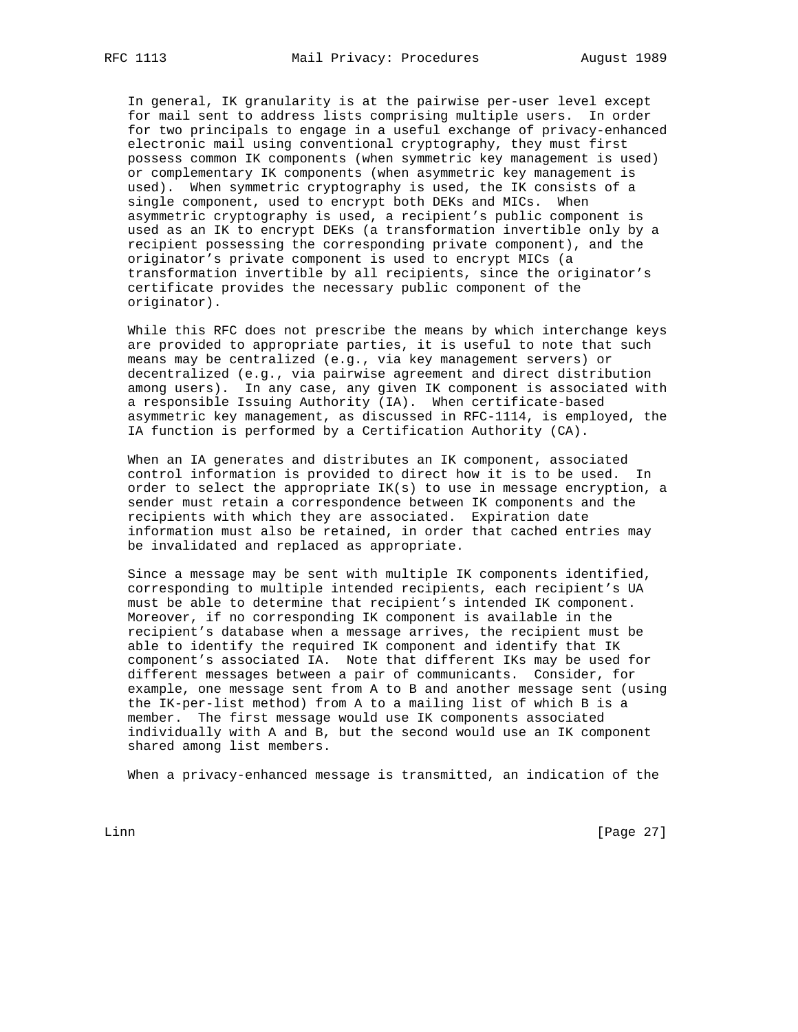In general, IK granularity is at the pairwise per-user level except for mail sent to address lists comprising multiple users. In order for two principals to engage in a useful exchange of privacy-enhanced electronic mail using conventional cryptography, they must first possess common IK components (when symmetric key management is used) or complementary IK components (when asymmetric key management is used). When symmetric cryptography is used, the IK consists of a single component, used to encrypt both DEKs and MICs. When asymmetric cryptography is used, a recipient's public component is used as an IK to encrypt DEKs (a transformation invertible only by a recipient possessing the corresponding private component), and the originator's private component is used to encrypt MICs (a transformation invertible by all recipients, since the originator's certificate provides the necessary public component of the originator).

 While this RFC does not prescribe the means by which interchange keys are provided to appropriate parties, it is useful to note that such means may be centralized (e.g., via key management servers) or decentralized (e.g., via pairwise agreement and direct distribution among users). In any case, any given IK component is associated with a responsible Issuing Authority (IA). When certificate-based asymmetric key management, as discussed in RFC-1114, is employed, the IA function is performed by a Certification Authority (CA).

 When an IA generates and distributes an IK component, associated control information is provided to direct how it is to be used. In order to select the appropriate IK(s) to use in message encryption, a sender must retain a correspondence between IK components and the recipients with which they are associated. Expiration date information must also be retained, in order that cached entries may be invalidated and replaced as appropriate.

 Since a message may be sent with multiple IK components identified, corresponding to multiple intended recipients, each recipient's UA must be able to determine that recipient's intended IK component. Moreover, if no corresponding IK component is available in the recipient's database when a message arrives, the recipient must be able to identify the required IK component and identify that IK component's associated IA. Note that different IKs may be used for different messages between a pair of communicants. Consider, for example, one message sent from A to B and another message sent (using the IK-per-list method) from A to a mailing list of which B is a member. The first message would use IK components associated individually with A and B, but the second would use an IK component shared among list members.

When a privacy-enhanced message is transmitted, an indication of the

Linn [Page 27]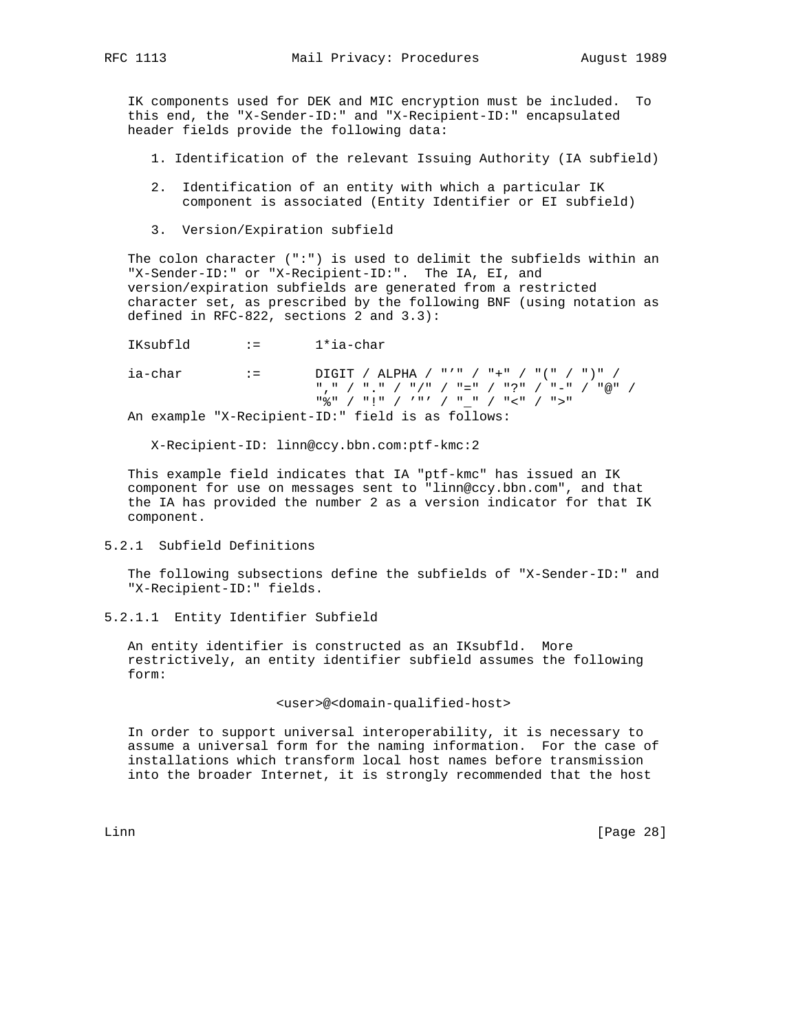IK components used for DEK and MIC encryption must be included. To this end, the "X-Sender-ID:" and "X-Recipient-ID:" encapsulated header fields provide the following data:

- 1. Identification of the relevant Issuing Authority (IA subfield)
- 2. Identification of an entity with which a particular IK component is associated (Entity Identifier or EI subfield)
- 3. Version/Expiration subfield

 The colon character (":") is used to delimit the subfields within an "X-Sender-ID:" or "X-Recipient-ID:". The IA, EI, and version/expiration subfields are generated from a restricted character set, as prescribed by the following BNF (using notation as defined in RFC-822, sections 2 and 3.3):

 IKsubfld := 1\*ia-char  $ia$ -char :=  $DIGIT / ALPHA / "''" / "+" / "("''")" /$  "," / "." / "/" / "=" / "?" / "-" / "@" / "%" / "!" / '"' / "\_" / "<" / ">" An example "X-Recipient-ID:" field is as follows:

X-Recipient-ID: linn@ccy.bbn.com:ptf-kmc:2

 This example field indicates that IA "ptf-kmc" has issued an IK component for use on messages sent to "linn@ccy.bbn.com", and that the IA has provided the number 2 as a version indicator for that IK component.

5.2.1 Subfield Definitions

 The following subsections define the subfields of "X-Sender-ID:" and "X-Recipient-ID:" fields.

5.2.1.1 Entity Identifier Subfield

 An entity identifier is constructed as an IKsubfld. More restrictively, an entity identifier subfield assumes the following form:

#### <user>@<domain-qualified-host>

 In order to support universal interoperability, it is necessary to assume a universal form for the naming information. For the case of installations which transform local host names before transmission into the broader Internet, it is strongly recommended that the host

Linn [Page 28]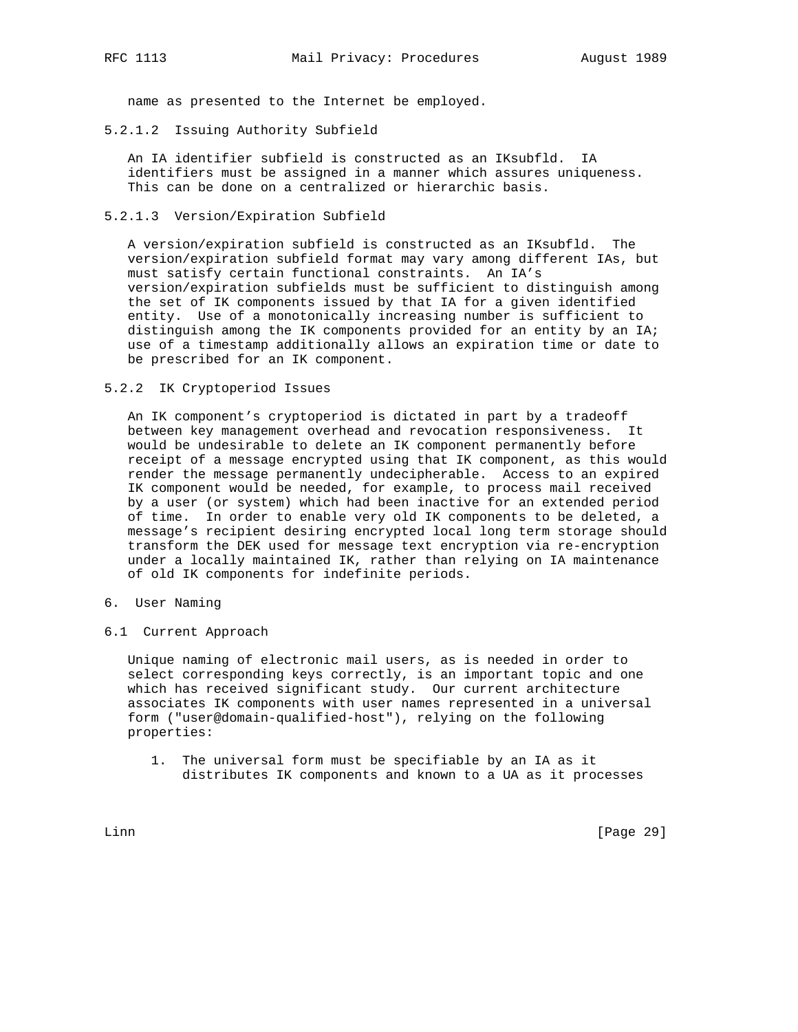name as presented to the Internet be employed.

### 5.2.1.2 Issuing Authority Subfield

 An IA identifier subfield is constructed as an IKsubfld. IA identifiers must be assigned in a manner which assures uniqueness. This can be done on a centralized or hierarchic basis.

## 5.2.1.3 Version/Expiration Subfield

 A version/expiration subfield is constructed as an IKsubfld. The version/expiration subfield format may vary among different IAs, but must satisfy certain functional constraints. An IA's version/expiration subfields must be sufficient to distinguish among the set of IK components issued by that IA for a given identified entity. Use of a monotonically increasing number is sufficient to distinguish among the IK components provided for an entity by an IA; use of a timestamp additionally allows an expiration time or date to be prescribed for an IK component.

#### 5.2.2 IK Cryptoperiod Issues

 An IK component's cryptoperiod is dictated in part by a tradeoff between key management overhead and revocation responsiveness. It would be undesirable to delete an IK component permanently before receipt of a message encrypted using that IK component, as this would render the message permanently undecipherable. Access to an expired IK component would be needed, for example, to process mail received by a user (or system) which had been inactive for an extended period of time. In order to enable very old IK components to be deleted, a message's recipient desiring encrypted local long term storage should transform the DEK used for message text encryption via re-encryption under a locally maintained IK, rather than relying on IA maintenance of old IK components for indefinite periods.

- 6. User Naming
- 6.1 Current Approach

 Unique naming of electronic mail users, as is needed in order to select corresponding keys correctly, is an important topic and one which has received significant study. Our current architecture associates IK components with user names represented in a universal form ("user@domain-qualified-host"), relying on the following properties:

 1. The universal form must be specifiable by an IA as it distributes IK components and known to a UA as it processes

Linn [Page 29]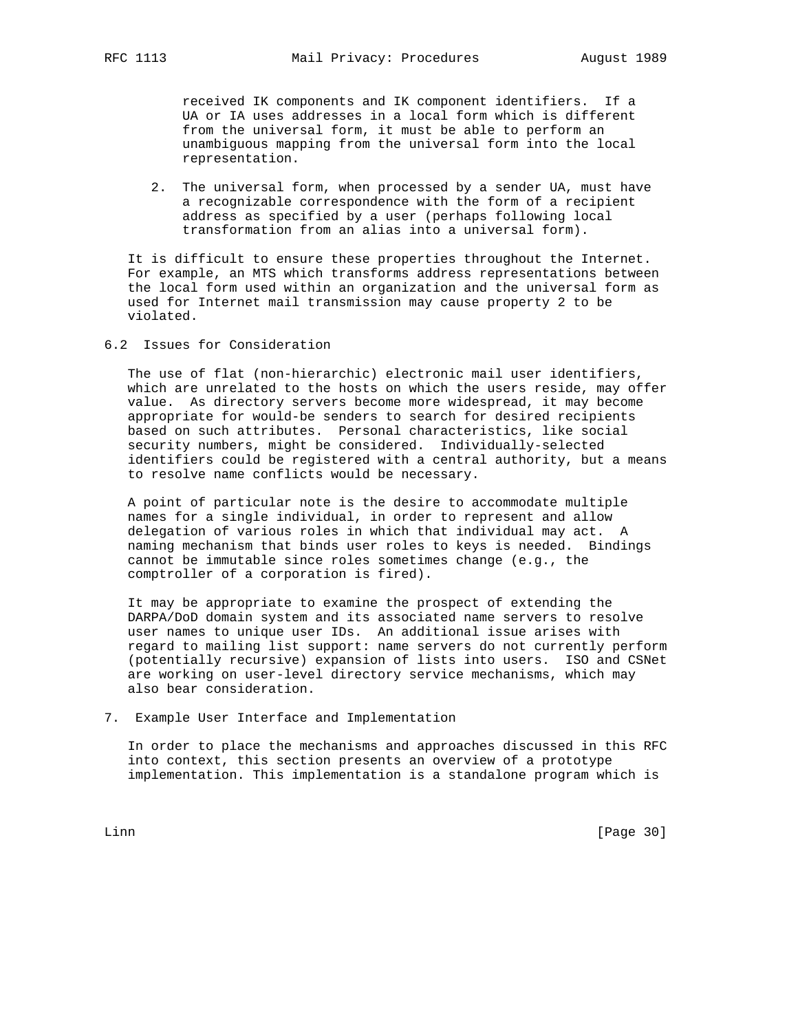received IK components and IK component identifiers. If a UA or IA uses addresses in a local form which is different from the universal form, it must be able to perform an unambiguous mapping from the universal form into the local representation.

 2. The universal form, when processed by a sender UA, must have a recognizable correspondence with the form of a recipient address as specified by a user (perhaps following local transformation from an alias into a universal form).

 It is difficult to ensure these properties throughout the Internet. For example, an MTS which transforms address representations between the local form used within an organization and the universal form as used for Internet mail transmission may cause property 2 to be violated.

6.2 Issues for Consideration

 The use of flat (non-hierarchic) electronic mail user identifiers, which are unrelated to the hosts on which the users reside, may offer value. As directory servers become more widespread, it may become appropriate for would-be senders to search for desired recipients based on such attributes. Personal characteristics, like social security numbers, might be considered. Individually-selected identifiers could be registered with a central authority, but a means to resolve name conflicts would be necessary.

 A point of particular note is the desire to accommodate multiple names for a single individual, in order to represent and allow delegation of various roles in which that individual may act. A naming mechanism that binds user roles to keys is needed. Bindings cannot be immutable since roles sometimes change (e.g., the comptroller of a corporation is fired).

 It may be appropriate to examine the prospect of extending the DARPA/DoD domain system and its associated name servers to resolve user names to unique user IDs. An additional issue arises with regard to mailing list support: name servers do not currently perform (potentially recursive) expansion of lists into users. ISO and CSNet are working on user-level directory service mechanisms, which may also bear consideration.

7. Example User Interface and Implementation

 In order to place the mechanisms and approaches discussed in this RFC into context, this section presents an overview of a prototype implementation. This implementation is a standalone program which is

Linn [Page 30]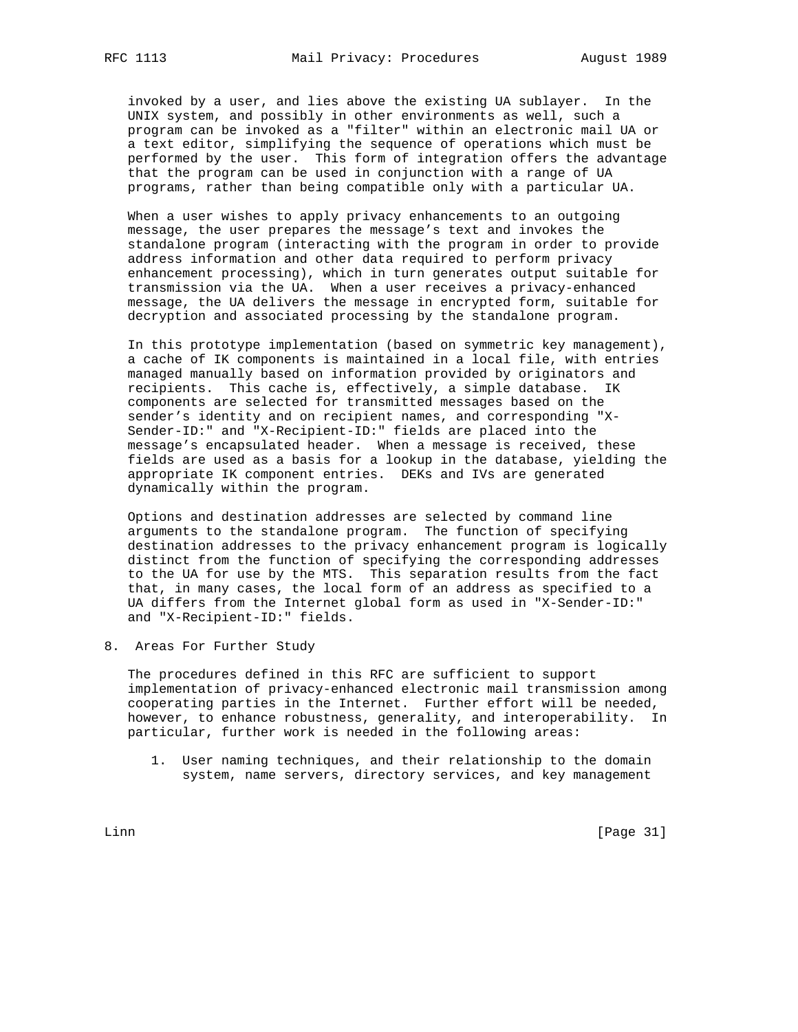invoked by a user, and lies above the existing UA sublayer. In the UNIX system, and possibly in other environments as well, such a program can be invoked as a "filter" within an electronic mail UA or a text editor, simplifying the sequence of operations which must be performed by the user. This form of integration offers the advantage that the program can be used in conjunction with a range of UA programs, rather than being compatible only with a particular UA.

When a user wishes to apply privacy enhancements to an outgoing message, the user prepares the message's text and invokes the standalone program (interacting with the program in order to provide address information and other data required to perform privacy enhancement processing), which in turn generates output suitable for transmission via the UA. When a user receives a privacy-enhanced message, the UA delivers the message in encrypted form, suitable for decryption and associated processing by the standalone program.

 In this prototype implementation (based on symmetric key management), a cache of IK components is maintained in a local file, with entries managed manually based on information provided by originators and recipients. This cache is, effectively, a simple database. IK components are selected for transmitted messages based on the sender's identity and on recipient names, and corresponding "X- Sender-ID:" and "X-Recipient-ID:" fields are placed into the message's encapsulated header. When a message is received, these fields are used as a basis for a lookup in the database, yielding the appropriate IK component entries. DEKs and IVs are generated dynamically within the program.

 Options and destination addresses are selected by command line arguments to the standalone program. The function of specifying destination addresses to the privacy enhancement program is logically distinct from the function of specifying the corresponding addresses to the UA for use by the MTS. This separation results from the fact that, in many cases, the local form of an address as specified to a UA differs from the Internet global form as used in "X-Sender-ID:" and "X-Recipient-ID:" fields.

8. Areas For Further Study

 The procedures defined in this RFC are sufficient to support implementation of privacy-enhanced electronic mail transmission among cooperating parties in the Internet. Further effort will be needed, however, to enhance robustness, generality, and interoperability. In particular, further work is needed in the following areas:

 1. User naming techniques, and their relationship to the domain system, name servers, directory services, and key management

Linn [Page 31]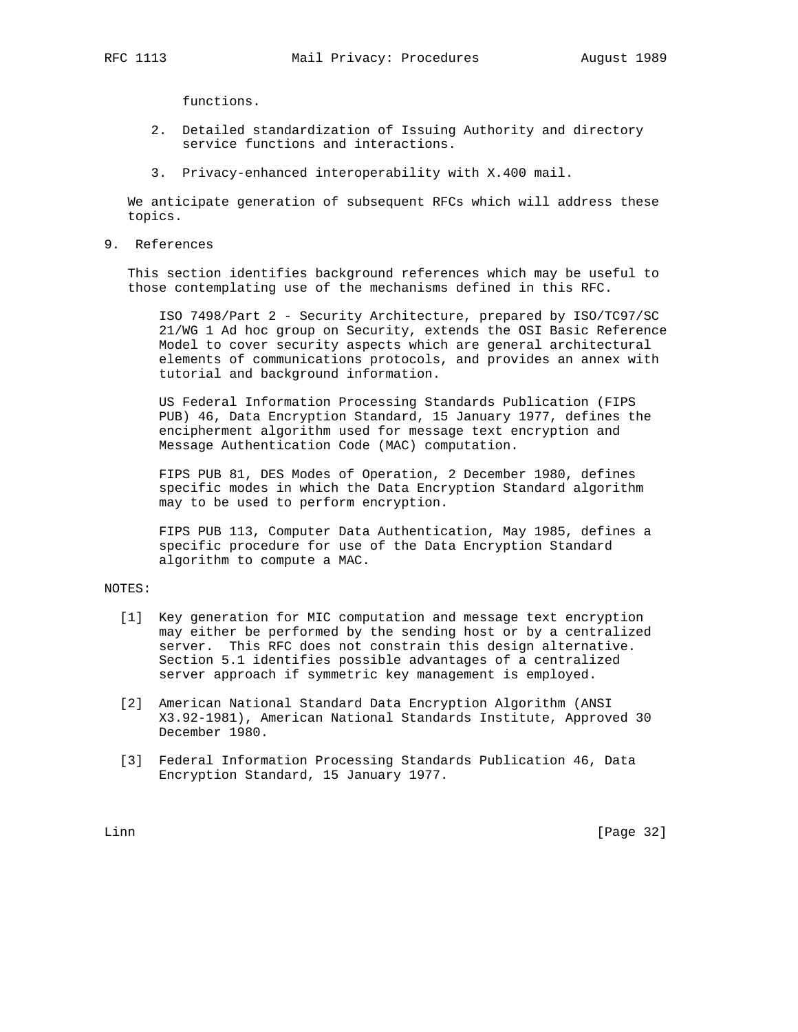functions.

- 2. Detailed standardization of Issuing Authority and directory service functions and interactions.
- 3. Privacy-enhanced interoperability with X.400 mail.

 We anticipate generation of subsequent RFCs which will address these topics.

9. References

 This section identifies background references which may be useful to those contemplating use of the mechanisms defined in this RFC.

 ISO 7498/Part 2 - Security Architecture, prepared by ISO/TC97/SC 21/WG 1 Ad hoc group on Security, extends the OSI Basic Reference Model to cover security aspects which are general architectural elements of communications protocols, and provides an annex with tutorial and background information.

 US Federal Information Processing Standards Publication (FIPS PUB) 46, Data Encryption Standard, 15 January 1977, defines the encipherment algorithm used for message text encryption and Message Authentication Code (MAC) computation.

 FIPS PUB 81, DES Modes of Operation, 2 December 1980, defines specific modes in which the Data Encryption Standard algorithm may to be used to perform encryption.

 FIPS PUB 113, Computer Data Authentication, May 1985, defines a specific procedure for use of the Data Encryption Standard algorithm to compute a MAC.

### NOTES:

- [1] Key generation for MIC computation and message text encryption may either be performed by the sending host or by a centralized server. This RFC does not constrain this design alternative. Section 5.1 identifies possible advantages of a centralized server approach if symmetric key management is employed.
- [2] American National Standard Data Encryption Algorithm (ANSI X3.92-1981), American National Standards Institute, Approved 30 December 1980.
- [3] Federal Information Processing Standards Publication 46, Data Encryption Standard, 15 January 1977.

Linn [Page 32]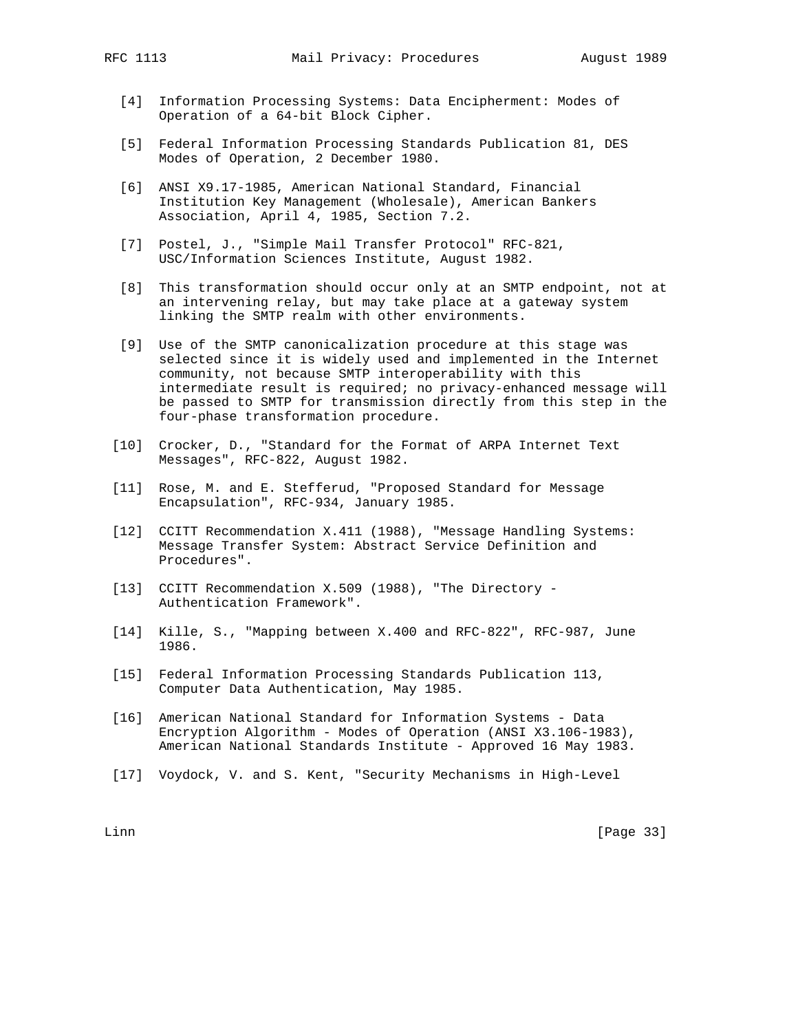- [4] Information Processing Systems: Data Encipherment: Modes of Operation of a 64-bit Block Cipher.
- [5] Federal Information Processing Standards Publication 81, DES Modes of Operation, 2 December 1980.
- [6] ANSI X9.17-1985, American National Standard, Financial Institution Key Management (Wholesale), American Bankers Association, April 4, 1985, Section 7.2.
- [7] Postel, J., "Simple Mail Transfer Protocol" RFC-821, USC/Information Sciences Institute, August 1982.
- [8] This transformation should occur only at an SMTP endpoint, not at an intervening relay, but may take place at a gateway system linking the SMTP realm with other environments.
- [9] Use of the SMTP canonicalization procedure at this stage was selected since it is widely used and implemented in the Internet community, not because SMTP interoperability with this intermediate result is required; no privacy-enhanced message will be passed to SMTP for transmission directly from this step in the four-phase transformation procedure.
- [10] Crocker, D., "Standard for the Format of ARPA Internet Text Messages", RFC-822, August 1982.
- [11] Rose, M. and E. Stefferud, "Proposed Standard for Message Encapsulation", RFC-934, January 1985.
- [12] CCITT Recommendation X.411 (1988), "Message Handling Systems: Message Transfer System: Abstract Service Definition and Procedures".
- [13] CCITT Recommendation X.509 (1988), "The Directory Authentication Framework".
- [14] Kille, S., "Mapping between X.400 and RFC-822", RFC-987, June 1986.
- [15] Federal Information Processing Standards Publication 113, Computer Data Authentication, May 1985.
- [16] American National Standard for Information Systems Data Encryption Algorithm - Modes of Operation (ANSI X3.106-1983), American National Standards Institute - Approved 16 May 1983.
- [17] Voydock, V. and S. Kent, "Security Mechanisms in High-Level

Linn [Page 33]